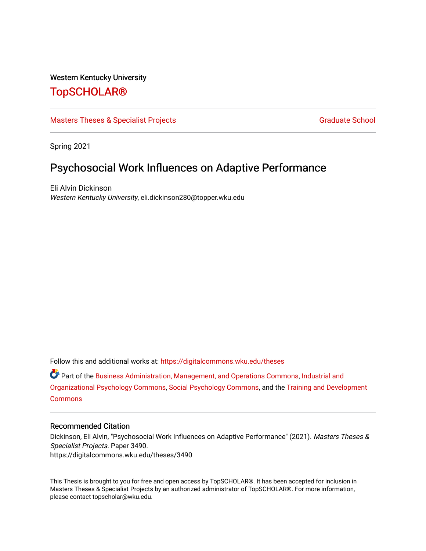#### Western Kentucky University

## [TopSCHOLAR®](https://digitalcommons.wku.edu/)

#### [Masters Theses & Specialist Projects](https://digitalcommons.wku.edu/theses) [Graduate School](https://digitalcommons.wku.edu/Graduate) Graduate School

Spring 2021

# Psychosocial Work Influences on Adaptive Performance

Eli Alvin Dickinson Western Kentucky University, eli.dickinson280@topper.wku.edu

Follow this and additional works at: [https://digitalcommons.wku.edu/theses](https://digitalcommons.wku.edu/theses?utm_source=digitalcommons.wku.edu%2Ftheses%2F3490&utm_medium=PDF&utm_campaign=PDFCoverPages) 

Part of the [Business Administration, Management, and Operations Commons](http://network.bepress.com/hgg/discipline/623?utm_source=digitalcommons.wku.edu%2Ftheses%2F3490&utm_medium=PDF&utm_campaign=PDFCoverPages), [Industrial and](http://network.bepress.com/hgg/discipline/412?utm_source=digitalcommons.wku.edu%2Ftheses%2F3490&utm_medium=PDF&utm_campaign=PDFCoverPages) [Organizational Psychology Commons](http://network.bepress.com/hgg/discipline/412?utm_source=digitalcommons.wku.edu%2Ftheses%2F3490&utm_medium=PDF&utm_campaign=PDFCoverPages), [Social Psychology Commons](http://network.bepress.com/hgg/discipline/414?utm_source=digitalcommons.wku.edu%2Ftheses%2F3490&utm_medium=PDF&utm_campaign=PDFCoverPages), and the [Training and Development](http://network.bepress.com/hgg/discipline/1257?utm_source=digitalcommons.wku.edu%2Ftheses%2F3490&utm_medium=PDF&utm_campaign=PDFCoverPages)  **[Commons](http://network.bepress.com/hgg/discipline/1257?utm_source=digitalcommons.wku.edu%2Ftheses%2F3490&utm_medium=PDF&utm_campaign=PDFCoverPages)** 

#### Recommended Citation

Dickinson, Eli Alvin, "Psychosocial Work Influences on Adaptive Performance" (2021). Masters Theses & Specialist Projects. Paper 3490. https://digitalcommons.wku.edu/theses/3490

This Thesis is brought to you for free and open access by TopSCHOLAR®. It has been accepted for inclusion in Masters Theses & Specialist Projects by an authorized administrator of TopSCHOLAR®. For more information, please contact topscholar@wku.edu.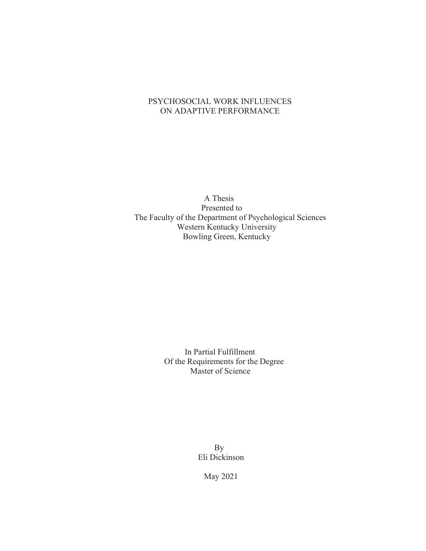### PSYCHOSOCIAL WORK INFLUENCES ON ADAPTIVE PERFORMANCE

A Thesis Presented to The Faculty of the Department of Psychological Sciences Western Kentucky University Bowling Green, Kentucky

> In Partial Fulfillment Of the Requirements for the Degree Master of Science

> > By Eli Dickinson

> > > May 2021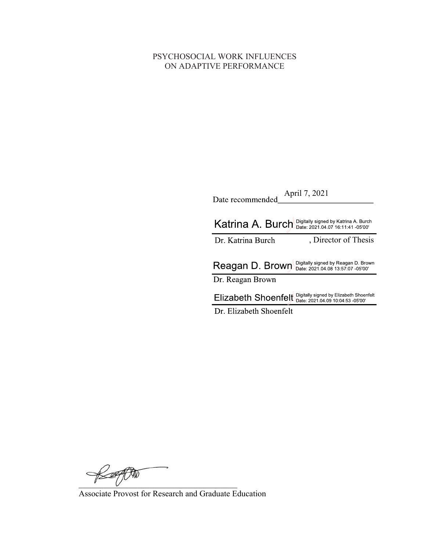### PSYCHOSOCIAL WORK INFLUENCES ON ADAPTIVE PERFORMANCE

| Date recommended April 7, 2021                                                                      |
|-----------------------------------------------------------------------------------------------------|
| Digitally signed by Katrina A. Burch<br>Katrina A. Burch<br>Date: 2021.04.07 16:11:41 -05'00'       |
| , Director of Thesis<br>Dr. Katrina Burch                                                           |
|                                                                                                     |
| Digitally signed by Reagan D. Brown<br>Reagan D. Brown<br>Date: 2021.04.08 13:57:07 -05'00'         |
| Dr. Reagan Brown                                                                                    |
| Digitally signed by Elizabeth Shoenfelt<br>Elizabeth Shoenfelt<br>Date: 2021.04.09 10:04:53 -05'00' |
| Dr. Elizabeth Shoenfelt                                                                             |

 $\not\approx$ 

Associate Provost for Research and Graduate Education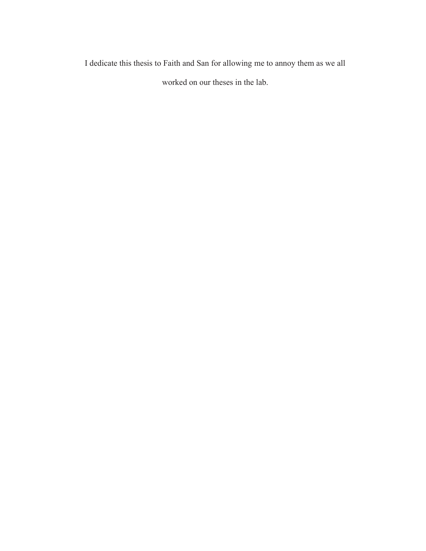I dedicate this thesis to Faith and San for allowing me to annoy them as we all

worked on our theses in the lab.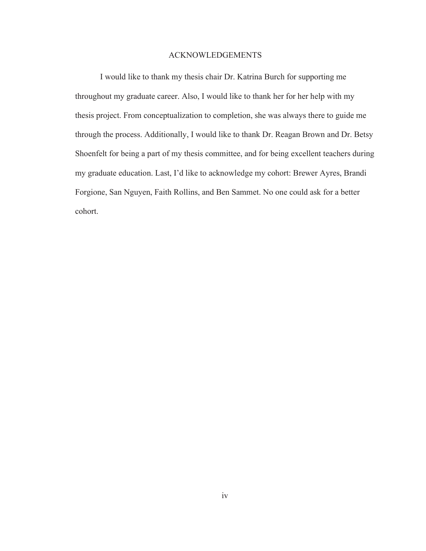#### ACKNOWLEDGEMENTS

I would like to thank my thesis chair Dr. Katrina Burch for supporting me throughout my graduate career. Also, I would like to thank her for her help with my thesis project. From conceptualization to completion, she was always there to guide me through the process. Additionally, I would like to thank Dr. Reagan Brown and Dr. Betsy Shoenfelt for being a part of my thesis committee, and for being excellent teachers during my graduate education. Last, I'd like to acknowledge my cohort: Brewer Ayres, Brandi Forgione, San Nguyen, Faith Rollins, and Ben Sammet. No one could ask for a better cohort.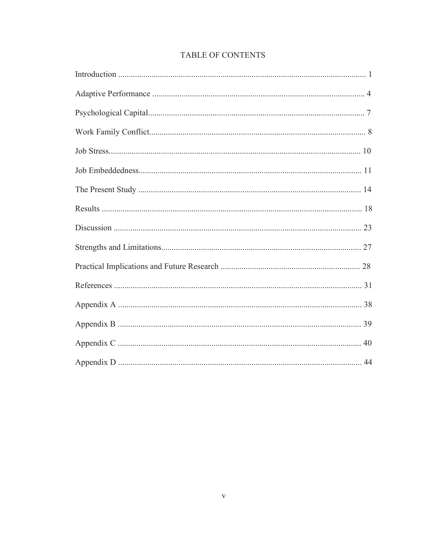## TABLE OF CONTENTS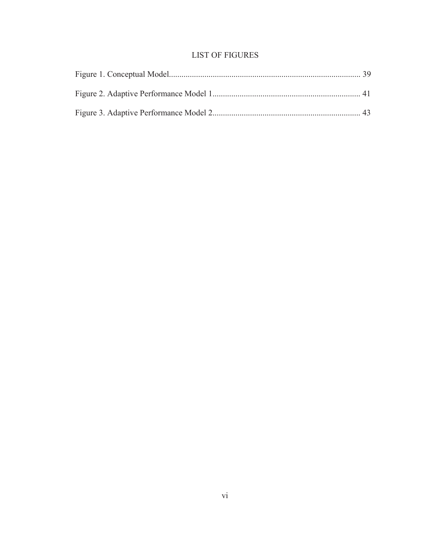## LIST OF FIGURES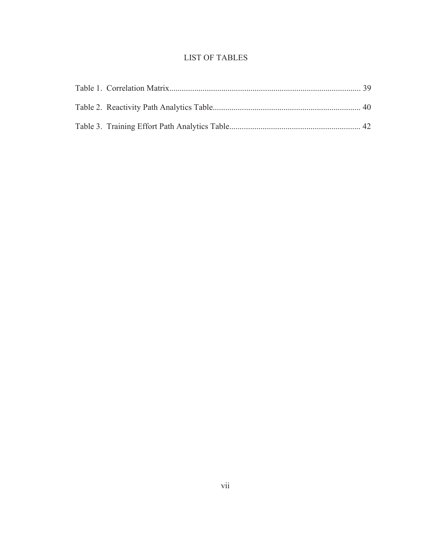## LIST OF TABLES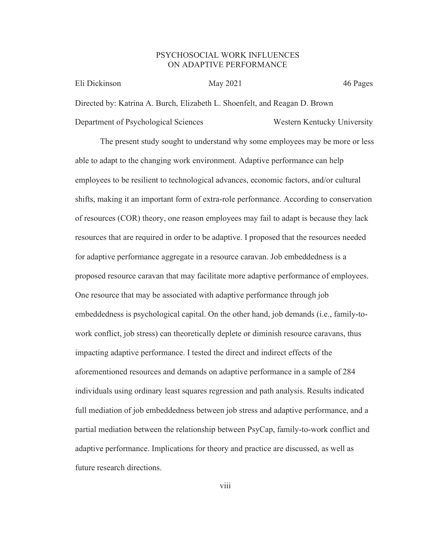#### PSYCHOSOCIAL WORK INFLUENCES ON ADAPTIVE PERFORMANCE

| Eli Dickinson                                                              | May 2021 | 46 Pages                    |
|----------------------------------------------------------------------------|----------|-----------------------------|
| Directed by: Katrina A. Burch, Elizabeth L. Shoenfelt, and Reagan D. Brown |          |                             |
| Department of Psychological Sciences                                       |          | Western Kentucky University |

The present study sought to understand why some employees may be more or less able to adapt to the changing work environment. Adaptive performance can help employees to be resilient to technological advances, economic factors, and/or cultural shifts, making it an important form of extra-role performance. According to conservation of resources (COR) theory, one reason employees may fail to adapt is because they lack resources that are required in order to be adaptive. I proposed that the resources needed for adaptive performance aggregate in a resource caravan. Job embeddedness is a proposed resource caravan that may facilitate more adaptive performance of employees. One resource that may be associated with adaptive performance through job embeddedness is psychological capital. On the other hand, job demands (i.e., family-towork conflict, job stress) can theoretically deplete or diminish resource caravans, thus impacting adaptive performance. I tested the direct and indirect effects of the aforementioned resources and demands on adaptive performance in a sample of 284 individuals using ordinary least squares regression and path analysis. Results indicated full mediation of job embeddedness between job stress and adaptive performance, and a partial mediation between the relationship between PsyCap, family-to-work conflict and adaptive performance. Implications for theory and practice are discussed, as well as future research directions.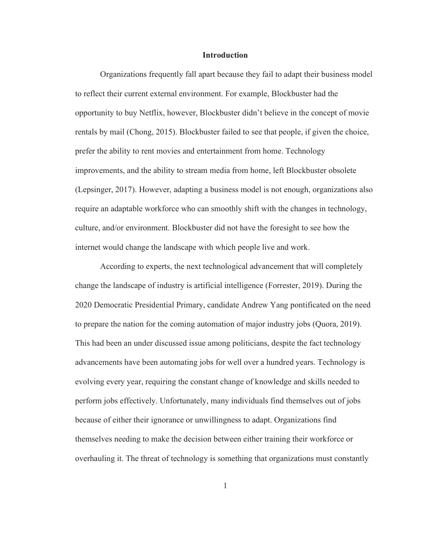#### **Introduction**

Organizations frequently fall apart because they fail to adapt their business model to reflect their current external environment. For example, Blockbuster had the opportunity to buy Netflix, however, Blockbuster didn't believe in the concept of movie rentals by mail (Chong, 2015). Blockbuster failed to see that people, if given the choice, prefer the ability to rent movies and entertainment from home. Technology improvements, and the ability to stream media from home, left Blockbuster obsolete (Lepsinger, 2017). However, adapting a business model is not enough, organizations also require an adaptable workforce who can smoothly shift with the changes in technology, culture, and/or environment. Blockbuster did not have the foresight to see how the internet would change the landscape with which people live and work.

According to experts, the next technological advancement that will completely change the landscape of industry is artificial intelligence (Forrester, 2019). During the 2020 Democratic Presidential Primary, candidate Andrew Yang pontificated on the need to prepare the nation for the coming automation of major industry jobs (Quora, 2019). This had been an under discussed issue among politicians, despite the fact technology advancements have been automating jobs for well over a hundred years. Technology is evolving every year, requiring the constant change of knowledge and skills needed to perform jobs effectively. Unfortunately, many individuals find themselves out of jobs because of either their ignorance or unwillingness to adapt. Organizations find themselves needing to make the decision between either training their workforce or overhauling it. The threat of technology is something that organizations must constantly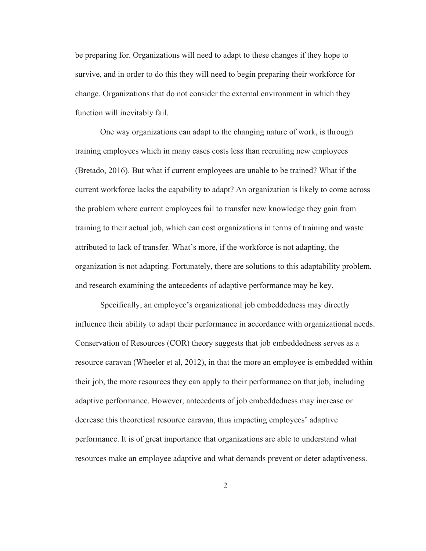be preparing for. Organizations will need to adapt to these changes if they hope to survive, and in order to do this they will need to begin preparing their workforce for change. Organizations that do not consider the external environment in which they function will inevitably fail.

 One way organizations can adapt to the changing nature of work, is through training employees which in many cases costs less than recruiting new employees (Bretado, 2016). But what if current employees are unable to be trained? What if the current workforce lacks the capability to adapt? An organization is likely to come across the problem where current employees fail to transfer new knowledge they gain from training to their actual job, which can cost organizations in terms of training and waste attributed to lack of transfer. What's more, if the workforce is not adapting, the organization is not adapting. Fortunately, there are solutions to this adaptability problem, and research examining the antecedents of adaptive performance may be key.

 Specifically, an employee's organizational job embeddedness may directly influence their ability to adapt their performance in accordance with organizational needs. Conservation of Resources (COR) theory suggests that job embeddedness serves as a resource caravan (Wheeler et al, 2012), in that the more an employee is embedded within their job, the more resources they can apply to their performance on that job, including adaptive performance. However, antecedents of job embeddedness may increase or decrease this theoretical resource caravan, thus impacting employees' adaptive performance. It is of great importance that organizations are able to understand what resources make an employee adaptive and what demands prevent or deter adaptiveness.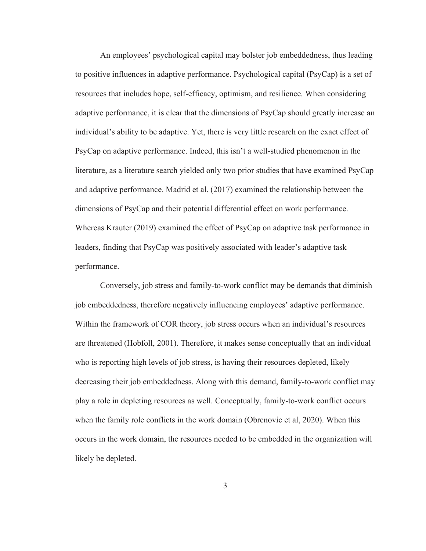An employees' psychological capital may bolster job embeddedness, thus leading to positive influences in adaptive performance. Psychological capital (PsyCap) is a set of resources that includes hope, self-efficacy, optimism, and resilience. When considering adaptive performance, it is clear that the dimensions of PsyCap should greatly increase an individual's ability to be adaptive. Yet, there is very little research on the exact effect of PsyCap on adaptive performance. Indeed, this isn't a well-studied phenomenon in the literature, as a literature search yielded only two prior studies that have examined PsyCap and adaptive performance. Madrid et al. (2017) examined the relationship between the dimensions of PsyCap and their potential differential effect on work performance. Whereas Krauter (2019) examined the effect of PsyCap on adaptive task performance in leaders, finding that PsyCap was positively associated with leader's adaptive task performance.

Conversely, job stress and family-to-work conflict may be demands that diminish job embeddedness, therefore negatively influencing employees' adaptive performance. Within the framework of COR theory, job stress occurs when an individual's resources are threatened (Hobfoll, 2001). Therefore, it makes sense conceptually that an individual who is reporting high levels of job stress, is having their resources depleted, likely decreasing their job embeddedness. Along with this demand, family-to-work conflict may play a role in depleting resources as well. Conceptually, family-to-work conflict occurs when the family role conflicts in the work domain (Obrenovic et al, 2020). When this occurs in the work domain, the resources needed to be embedded in the organization will likely be depleted.

3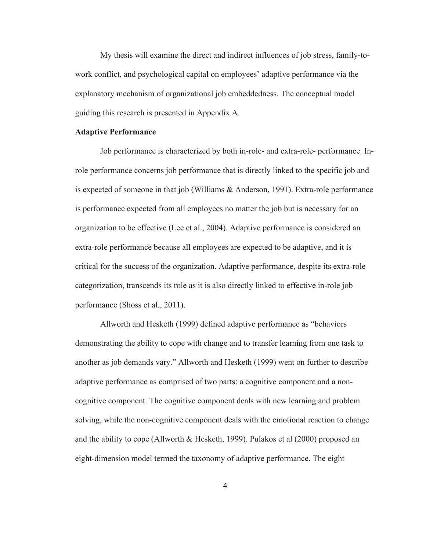My thesis will examine the direct and indirect influences of job stress, family-towork conflict, and psychological capital on employees' adaptive performance via the explanatory mechanism of organizational job embeddedness. The conceptual model guiding this research is presented in Appendix A.

#### Adaptive Performance

Job performance is characterized by both in-role- and extra-role- performance. Inrole performance concerns job performance that is directly linked to the specific job and is expected of someone in that job (Williams & Anderson, 1991). Extra-role performance is performance expected from all employees no matter the job but is necessary for an organization to be effective (Lee et al., 2004). Adaptive performance is considered an extra-role performance because all employees are expected to be adaptive, and it is critical for the success of the organization. Adaptive performance, despite its extra-role categorization, transcends its role as it is also directly linked to effective in-role job performance (Shoss et al., 2011).

 Allworth and Hesketh (1999) defined adaptive performance as "behaviors demonstrating the ability to cope with change and to transfer learning from one task to another as job demands vary." Allworth and Hesketh (1999) went on further to describe adaptive performance as comprised of two parts: a cognitive component and a noncognitive component. The cognitive component deals with new learning and problem solving, while the non-cognitive component deals with the emotional reaction to change and the ability to cope (Allworth & Hesketh, 1999). Pulakos et al (2000) proposed an eight-dimension model termed the taxonomy of adaptive performance. The eight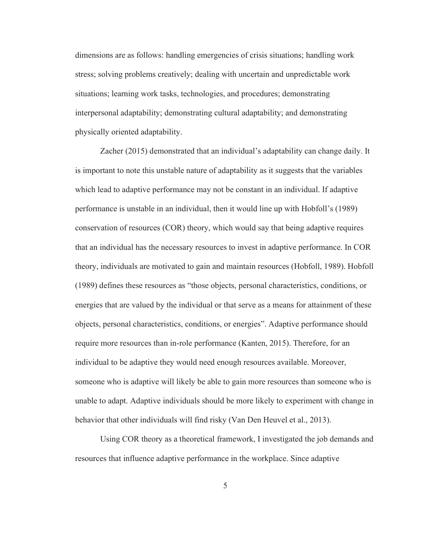dimensions are as follows: handling emergencies of crisis situations; handling work stress; solving problems creatively; dealing with uncertain and unpredictable work situations; learning work tasks, technologies, and procedures; demonstrating interpersonal adaptability; demonstrating cultural adaptability; and demonstrating physically oriented adaptability.

 Zacher (2015) demonstrated that an individual's adaptability can change daily. It is important to note this unstable nature of adaptability as it suggests that the variables which lead to adaptive performance may not be constant in an individual. If adaptive performance is unstable in an individual, then it would line up with Hobfoll's (1989) conservation of resources (COR) theory, which would say that being adaptive requires that an individual has the necessary resources to invest in adaptive performance. In COR theory, individuals are motivated to gain and maintain resources (Hobfoll, 1989). Hobfoll (1989) defines these resources as "those objects, personal characteristics, conditions, or energies that are valued by the individual or that serve as a means for attainment of these objects, personal characteristics, conditions, or energies". Adaptive performance should require more resources than in-role performance (Kanten, 2015). Therefore, for an individual to be adaptive they would need enough resources available. Moreover, someone who is adaptive will likely be able to gain more resources than someone who is unable to adapt. Adaptive individuals should be more likely to experiment with change in behavior that other individuals will find risky (Van Den Heuvel et al., 2013).

 Using COR theory as a theoretical framework, I investigated the job demands and resources that influence adaptive performance in the workplace. Since adaptive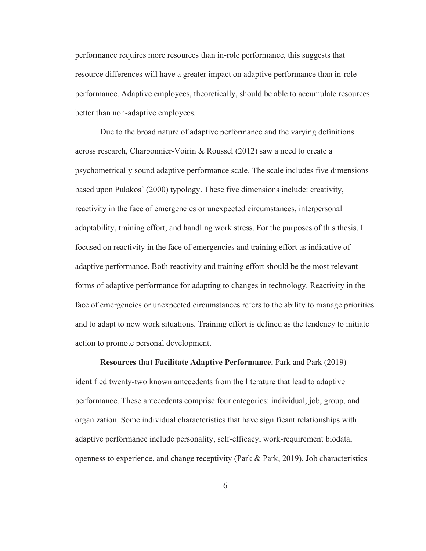performance requires more resources than in-role performance, this suggests that resource differences will have a greater impact on adaptive performance than in-role performance. Adaptive employees, theoretically, should be able to accumulate resources better than non-adaptive employees.

Due to the broad nature of adaptive performance and the varying definitions across research, Charbonnier-Voirin & Roussel (2012) saw a need to create a psychometrically sound adaptive performance scale. The scale includes five dimensions based upon Pulakos' (2000) typology. These five dimensions include: creativity, reactivity in the face of emergencies or unexpected circumstances, interpersonal adaptability, training effort, and handling work stress. For the purposes of this thesis, I focused on reactivity in the face of emergencies and training effort as indicative of adaptive performance. Both reactivity and training effort should be the most relevant forms of adaptive performance for adapting to changes in technology. Reactivity in the face of emergencies or unexpected circumstances refers to the ability to manage priorities and to adapt to new work situations. Training effort is defined as the tendency to initiate action to promote personal development.

Resources that Facilitate Adaptive Performance. Park and Park (2019) identified twenty-two known antecedents from the literature that lead to adaptive performance. These antecedents comprise four categories: individual, job, group, and organization. Some individual characteristics that have significant relationships with adaptive performance include personality, self-efficacy, work-requirement biodata, openness to experience, and change receptivity (Park & Park, 2019). Job characteristics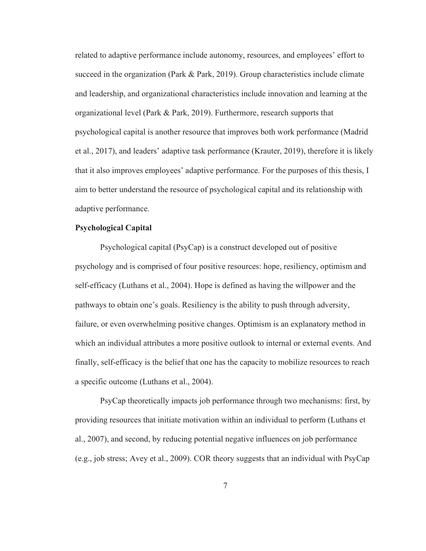related to adaptive performance include autonomy, resources, and employees' effort to succeed in the organization (Park & Park, 2019). Group characteristics include climate and leadership, and organizational characteristics include innovation and learning at the organizational level (Park & Park, 2019). Furthermore, research supports that psychological capital is another resource that improves both work performance (Madrid et al., 2017), and leaders' adaptive task performance (Krauter, 2019), therefore it is likely that it also improves employees' adaptive performance. For the purposes of this thesis, I aim to better understand the resource of psychological capital and its relationship with adaptive performance.

#### Psychological Capital

Psychological capital (PsyCap) is a construct developed out of positive psychology and is comprised of four positive resources: hope, resiliency, optimism and self-efficacy (Luthans et al., 2004). Hope is defined as having the willpower and the pathways to obtain one's goals. Resiliency is the ability to push through adversity, failure, or even overwhelming positive changes. Optimism is an explanatory method in which an individual attributes a more positive outlook to internal or external events. And finally, self-efficacy is the belief that one has the capacity to mobilize resources to reach a specific outcome (Luthans et al., 2004).

PsyCap theoretically impacts job performance through two mechanisms: first, by providing resources that initiate motivation within an individual to perform (Luthans et al., 2007), and second, by reducing potential negative influences on job performance (e.g., job stress; Avey et al., 2009). COR theory suggests that an individual with PsyCap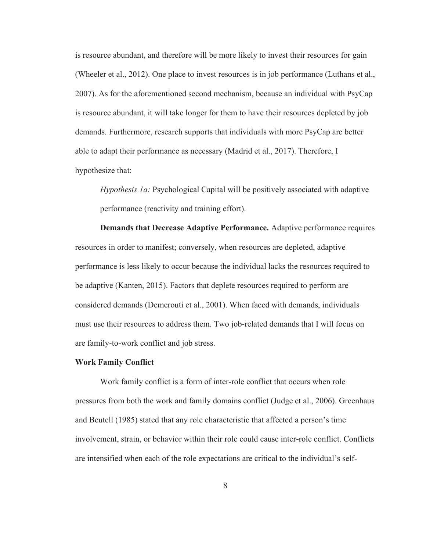is resource abundant, and therefore will be more likely to invest their resources for gain (Wheeler et al., 2012). One place to invest resources is in job performance (Luthans et al., 2007). As for the aforementioned second mechanism, because an individual with PsyCap is resource abundant, it will take longer for them to have their resources depleted by job demands. Furthermore, research supports that individuals with more PsyCap are better able to adapt their performance as necessary (Madrid et al., 2017). Therefore, I hypothesize that:

*Hypothesis 1a:* Psychological Capital will be positively associated with adaptive performance (reactivity and training effort).

Demands that Decrease Adaptive Performance. Adaptive performance requires resources in order to manifest; conversely, when resources are depleted, adaptive performance is less likely to occur because the individual lacks the resources required to be adaptive (Kanten, 2015). Factors that deplete resources required to perform are considered demands (Demerouti et al., 2001). When faced with demands, individuals must use their resources to address them. Two job-related demands that I will focus on are family-to-work conflict and job stress.

#### Work Family Conflict

Work family conflict is a form of inter-role conflict that occurs when role pressures from both the work and family domains conflict (Judge et al., 2006). Greenhaus and Beutell (1985) stated that any role characteristic that affected a person's time involvement, strain, or behavior within their role could cause inter-role conflict. Conflicts are intensified when each of the role expectations are critical to the individual's self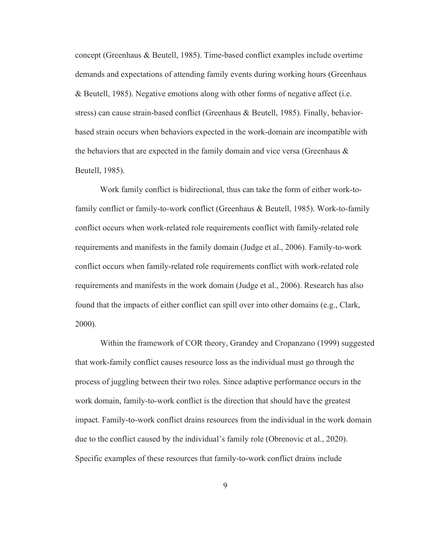concept (Greenhaus & Beutell, 1985). Time-based conflict examples include overtime demands and expectations of attending family events during working hours (Greenhaus & Beutell, 1985). Negative emotions along with other forms of negative affect (i.e. stress) can cause strain-based conflict (Greenhaus & Beutell, 1985). Finally, behaviorbased strain occurs when behaviors expected in the work-domain are incompatible with the behaviors that are expected in the family domain and vice versa (Greenhaus  $\&$ Beutell, 1985).

Work family conflict is bidirectional, thus can take the form of either work-tofamily conflict or family-to-work conflict (Greenhaus & Beutell, 1985). Work-to-family conflict occurs when work-related role requirements conflict with family-related role requirements and manifests in the family domain (Judge et al., 2006). Family-to-work conflict occurs when family-related role requirements conflict with work-related role requirements and manifests in the work domain (Judge et al., 2006). Research has also found that the impacts of either conflict can spill over into other domains (e.g., Clark, 2000).

 Within the framework of COR theory, Grandey and Cropanzano (1999) suggested that work-family conflict causes resource loss as the individual must go through the process of juggling between their two roles. Since adaptive performance occurs in the work domain, family-to-work conflict is the direction that should have the greatest impact. Family-to-work conflict drains resources from the individual in the work domain due to the conflict caused by the individual's family role (Obrenovic et al., 2020). Specific examples of these resources that family-to-work conflict drains include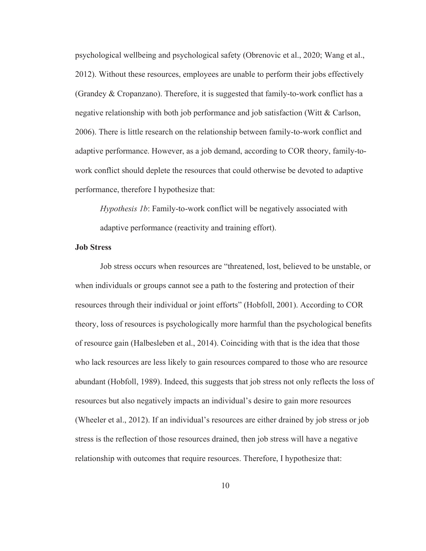psychological wellbeing and psychological safety (Obrenovic et al., 2020; Wang et al., 2012). Without these resources, employees are unable to perform their jobs effectively (Grandey & Cropanzano). Therefore, it is suggested that family-to-work conflict has a negative relationship with both job performance and job satisfaction (Witt & Carlson, 2006). There is little research on the relationship between family-to-work conflict and adaptive performance. However, as a job demand, according to COR theory, family-towork conflict should deplete the resources that could otherwise be devoted to adaptive performance, therefore I hypothesize that:

*Hypothesis 1b*: Family-to-work conflict will be negatively associated with adaptive performance (reactivity and training effort).

#### Job Stress

Job stress occurs when resources are "threatened, lost, believed to be unstable, or when individuals or groups cannot see a path to the fostering and protection of their resources through their individual or joint efforts" (Hobfoll, 2001). According to COR theory, loss of resources is psychologically more harmful than the psychological benefits of resource gain (Halbesleben et al., 2014). Coinciding with that is the idea that those who lack resources are less likely to gain resources compared to those who are resource abundant (Hobfoll, 1989). Indeed, this suggests that job stress not only reflects the loss of resources but also negatively impacts an individual's desire to gain more resources (Wheeler et al., 2012). If an individual's resources are either drained by job stress or job stress is the reflection of those resources drained, then job stress will have a negative relationship with outcomes that require resources. Therefore, I hypothesize that: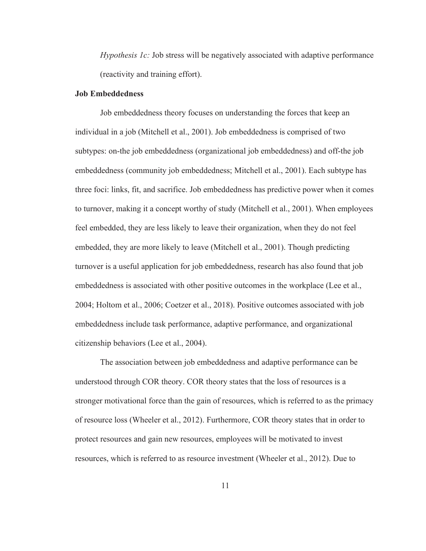*Hypothesis 1c:* Job stress will be negatively associated with adaptive performance (reactivity and training effort).

#### Job Embeddedness

 Job embeddedness theory focuses on understanding the forces that keep an individual in a job (Mitchell et al., 2001). Job embeddedness is comprised of two subtypes: on-the job embeddedness (organizational job embeddedness) and off-the job embeddedness (community job embeddedness; Mitchell et al., 2001). Each subtype has three foci: links, fit, and sacrifice. Job embeddedness has predictive power when it comes to turnover, making it a concept worthy of study (Mitchell et al., 2001). When employees feel embedded, they are less likely to leave their organization, when they do not feel embedded, they are more likely to leave (Mitchell et al., 2001). Though predicting turnover is a useful application for job embeddedness, research has also found that job embeddedness is associated with other positive outcomes in the workplace (Lee et al., 2004; Holtom et al., 2006; Coetzer et al., 2018). Positive outcomes associated with job embeddedness include task performance, adaptive performance, and organizational citizenship behaviors (Lee et al., 2004).

The association between job embeddedness and adaptive performance can be understood through COR theory. COR theory states that the loss of resources is a stronger motivational force than the gain of resources, which is referred to as the primacy of resource loss (Wheeler et al., 2012). Furthermore, COR theory states that in order to protect resources and gain new resources, employees will be motivated to invest resources, which is referred to as resource investment (Wheeler et al., 2012). Due to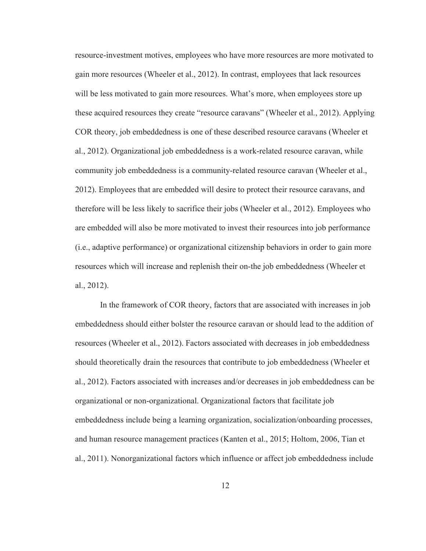resource-investment motives, employees who have more resources are more motivated to gain more resources (Wheeler et al., 2012). In contrast, employees that lack resources will be less motivated to gain more resources. What's more, when employees store up these acquired resources they create "resource caravans" (Wheeler et al., 2012). Applying COR theory, job embeddedness is one of these described resource caravans (Wheeler et al., 2012). Organizational job embeddedness is a work-related resource caravan, while community job embeddedness is a community-related resource caravan (Wheeler et al., 2012). Employees that are embedded will desire to protect their resource caravans, and therefore will be less likely to sacrifice their jobs (Wheeler et al., 2012). Employees who are embedded will also be more motivated to invest their resources into job performance (i.e., adaptive performance) or organizational citizenship behaviors in order to gain more resources which will increase and replenish their on-the job embeddedness (Wheeler et al., 2012).

In the framework of COR theory, factors that are associated with increases in job embeddedness should either bolster the resource caravan or should lead to the addition of resources (Wheeler et al., 2012). Factors associated with decreases in job embeddedness should theoretically drain the resources that contribute to job embeddedness (Wheeler et al., 2012). Factors associated with increases and/or decreases in job embeddedness can be organizational or non-organizational. Organizational factors that facilitate job embeddedness include being a learning organization, socialization/onboarding processes, and human resource management practices (Kanten et al., 2015; Holtom, 2006, Tian et al., 2011). Nonorganizational factors which influence or affect job embeddedness include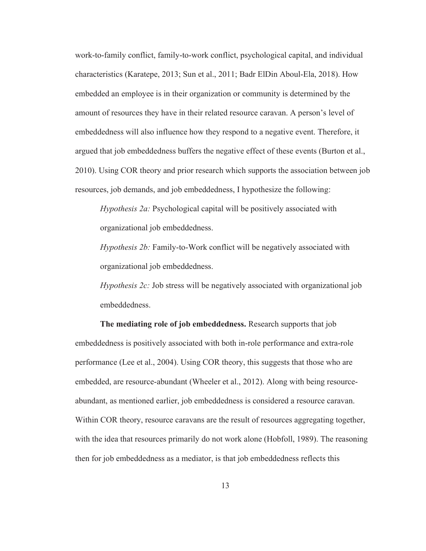work-to-family conflict, family-to-work conflict, psychological capital, and individual characteristics (Karatepe, 2013; Sun et al., 2011; Badr ElDin Aboul-Ela, 2018). How embedded an employee is in their organization or community is determined by the amount of resources they have in their related resource caravan. A person's level of embeddedness will also influence how they respond to a negative event. Therefore, it argued that job embeddedness buffers the negative effect of these events (Burton et al., 2010). Using COR theory and prior research which supports the association between job resources, job demands, and job embeddedness, I hypothesize the following:

*Hypothesis 2a:* Psychological capital will be positively associated with organizational job embeddedness.

*Hypothesis 2b:* Family-to-Work conflict will be negatively associated with organizational job embeddedness.

*Hypothesis 2c:* Job stress will be negatively associated with organizational job embeddedness.

The mediating role of job embeddedness. Research supports that job embeddedness is positively associated with both in-role performance and extra-role performance (Lee et al., 2004). Using COR theory, this suggests that those who are embedded, are resource-abundant (Wheeler et al., 2012). Along with being resourceabundant, as mentioned earlier, job embeddedness is considered a resource caravan. Within COR theory, resource caravans are the result of resources aggregating together, with the idea that resources primarily do not work alone (Hobfoll, 1989). The reasoning then for job embeddedness as a mediator, is that job embeddedness reflects this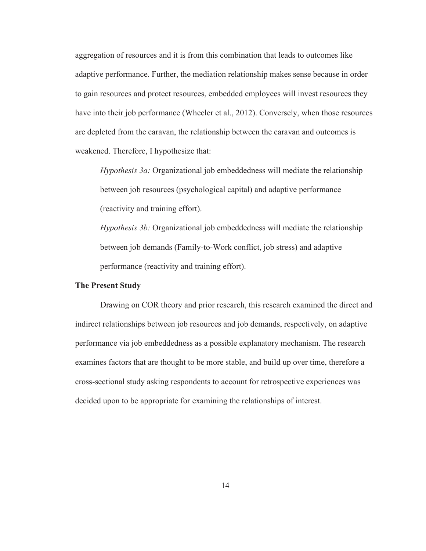aggregation of resources and it is from this combination that leads to outcomes like adaptive performance. Further, the mediation relationship makes sense because in order to gain resources and protect resources, embedded employees will invest resources they have into their job performance (Wheeler et al., 2012). Conversely, when those resources are depleted from the caravan, the relationship between the caravan and outcomes is weakened. Therefore, I hypothesize that:

*Hypothesis 3a:* Organizational job embeddedness will mediate the relationship between job resources (psychological capital) and adaptive performance (reactivity and training effort).

*Hypothesis 3b:* Organizational job embeddedness will mediate the relationship between job demands (Family-to-Work conflict, job stress) and adaptive performance (reactivity and training effort).

#### The Present Study

 Drawing on COR theory and prior research, this research examined the direct and indirect relationships between job resources and job demands, respectively, on adaptive performance via job embeddedness as a possible explanatory mechanism. The research examines factors that are thought to be more stable, and build up over time, therefore a cross-sectional study asking respondents to account for retrospective experiences was decided upon to be appropriate for examining the relationships of interest.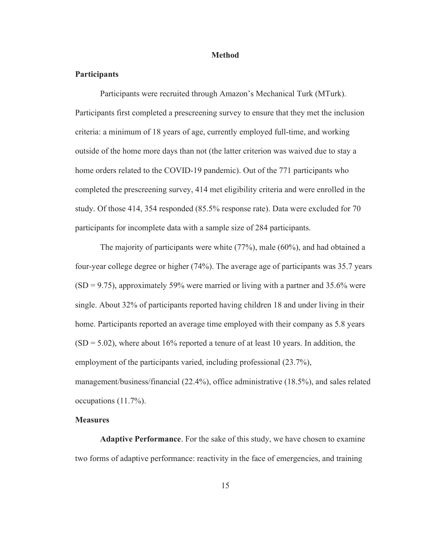#### Method

#### **Participants**

Participants were recruited through Amazon's Mechanical Turk (MTurk). Participants first completed a prescreening survey to ensure that they met the inclusion criteria: a minimum of 18 years of age, currently employed full-time, and working outside of the home more days than not (the latter criterion was waived due to stay a home orders related to the COVID-19 pandemic). Out of the 771 participants who completed the prescreening survey, 414 met eligibility criteria and were enrolled in the study. Of those 414, 354 responded (85.5% response rate). Data were excluded for 70 participants for incomplete data with a sample size of 284 participants.

The majority of participants were white (77%), male (60%), and had obtained a four-year college degree or higher (74%). The average age of participants was 35.7 years  $(SD = 9.75)$ , approximately 59% were married or living with a partner and 35.6% were single. About 32% of participants reported having children 18 and under living in their home. Participants reported an average time employed with their company as 5.8 years  $(SD = 5.02)$ , where about 16% reported a tenure of at least 10 years. In addition, the employment of the participants varied, including professional (23.7%), management/business/financial (22.4%), office administrative (18.5%), and sales related occupations (11.7%).

#### **Measures**

Adaptive Performance. For the sake of this study, we have chosen to examine two forms of adaptive performance: reactivity in the face of emergencies, and training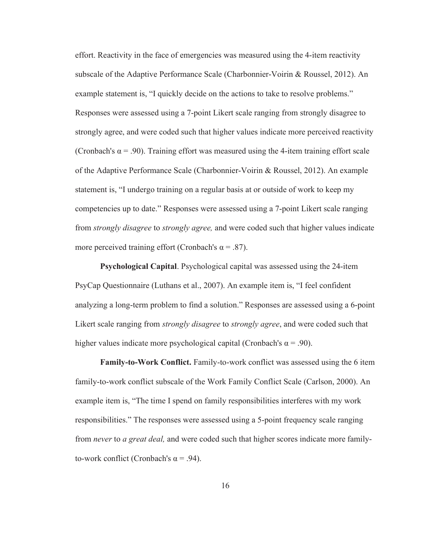effort. Reactivity in the face of emergencies was measured using the 4-item reactivity subscale of the Adaptive Performance Scale (Charbonnier-Voirin & Roussel, 2012). An example statement is, "I quickly decide on the actions to take to resolve problems." Responses were assessed using a 7-point Likert scale ranging from strongly disagree to strongly agree, and were coded such that higher values indicate more perceived reactivity (Cronbach's  $\alpha$  = .90). Training effort was measured using the 4-item training effort scale of the Adaptive Performance Scale (Charbonnier-Voirin & Roussel, 2012). An example statement is, "I undergo training on a regular basis at or outside of work to keep my competencies up to date." Responses were assessed using a 7-point Likert scale ranging from *strongly disagree* to *strongly agree,* and were coded such that higher values indicate more perceived training effort (Cronbach's  $\alpha = .87$ ).

Psychological Capital. Psychological capital was assessed using the 24-item PsyCap Questionnaire (Luthans et al., 2007). An example item is, "I feel confident analyzing a long-term problem to find a solution." Responses are assessed using a 6-point Likert scale ranging from *strongly disagree* to *strongly agree*, and were coded such that higher values indicate more psychological capital (Cronbach's  $\alpha = .90$ ).

Family-to-Work Conflict. Family-to-work conflict was assessed using the 6 item family-to-work conflict subscale of the Work Family Conflict Scale (Carlson, 2000). An example item is, "The time I spend on family responsibilities interferes with my work responsibilities." The responses were assessed using a 5-point frequency scale ranging from *never* to *a great deal,* and were coded such that higher scores indicate more familyto-work conflict (Cronbach's  $\alpha$  = .94).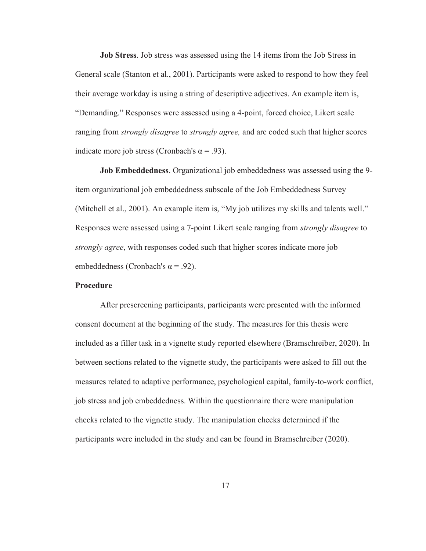Job Stress. Job stress was assessed using the 14 items from the Job Stress in General scale (Stanton et al., 2001). Participants were asked to respond to how they feel their average workday is using a string of descriptive adjectives. An example item is, "Demanding." Responses were assessed using a 4-point, forced choice, Likert scale ranging from *strongly disagree* to *strongly agree,* and are coded such that higher scores indicate more job stress (Cronbach's  $\alpha$  = .93).

Job Embeddedness. Organizational job embeddedness was assessed using the 9 item organizational job embeddedness subscale of the Job Embeddedness Survey (Mitchell et al., 2001). An example item is, "My job utilizes my skills and talents well." Responses were assessed using a 7-point Likert scale ranging from *strongly disagree* to *strongly agree*, with responses coded such that higher scores indicate more job embeddedness (Cronbach's  $\alpha$  = .92).

#### Procedure

After prescreening participants, participants were presented with the informed consent document at the beginning of the study. The measures for this thesis were included as a filler task in a vignette study reported elsewhere (Bramschreiber, 2020). In between sections related to the vignette study, the participants were asked to fill out the measures related to adaptive performance, psychological capital, family-to-work conflict, job stress and job embeddedness. Within the questionnaire there were manipulation checks related to the vignette study. The manipulation checks determined if the participants were included in the study and can be found in Bramschreiber (2020).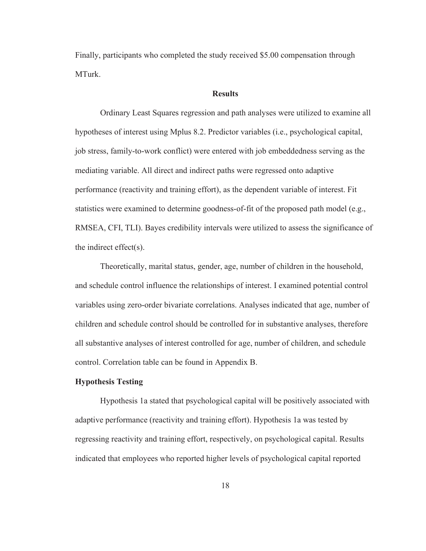Finally, participants who completed the study received \$5.00 compensation through MTurk.

#### **Results**

 Ordinary Least Squares regression and path analyses were utilized to examine all hypotheses of interest using Mplus 8.2. Predictor variables (i.e., psychological capital, job stress, family-to-work conflict) were entered with job embeddedness serving as the mediating variable. All direct and indirect paths were regressed onto adaptive performance (reactivity and training effort), as the dependent variable of interest. Fit statistics were examined to determine goodness-of-fit of the proposed path model (e.g., RMSEA, CFI, TLI). Bayes credibility intervals were utilized to assess the significance of the indirect effect(s).

Theoretically, marital status, gender, age, number of children in the household, and schedule control influence the relationships of interest. I examined potential control variables using zero-order bivariate correlations. Analyses indicated that age, number of children and schedule control should be controlled for in substantive analyses, therefore all substantive analyses of interest controlled for age, number of children, and schedule control. Correlation table can be found in Appendix B.

#### Hypothesis Testing

Hypothesis 1a stated that psychological capital will be positively associated with adaptive performance (reactivity and training effort). Hypothesis 1a was tested by regressing reactivity and training effort, respectively, on psychological capital. Results indicated that employees who reported higher levels of psychological capital reported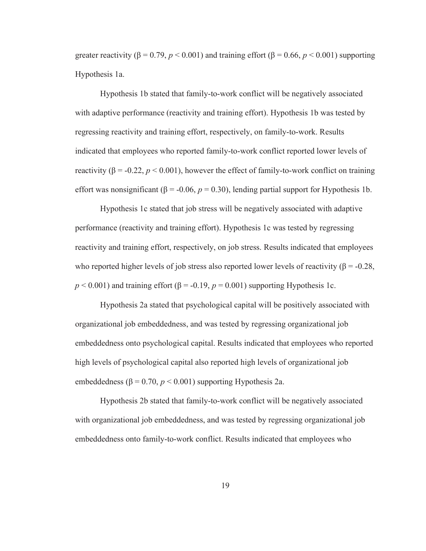greater reactivity  $(\beta = 0.79, p \le 0.001)$  and training effort  $(\beta = 0.66, p \le 0.001)$  supporting Hypothesis 1a.

Hypothesis 1b stated that family-to-work conflict will be negatively associated with adaptive performance (reactivity and training effort). Hypothesis 1b was tested by regressing reactivity and training effort, respectively, on family-to-work. Results indicated that employees who reported family-to-work conflict reported lower levels of reactivity ( $\beta$  = -0.22,  $p < 0.001$ ), however the effect of family-to-work conflict on training effort was nonsignificant ( $\beta$  = -0.06,  $p$  = 0.30), lending partial support for Hypothesis 1b.

Hypothesis 1c stated that job stress will be negatively associated with adaptive performance (reactivity and training effort). Hypothesis 1c was tested by regressing reactivity and training effort, respectively, on job stress. Results indicated that employees who reported higher levels of job stress also reported lower levels of reactivity ( $\beta$  = -0.28,  $p < 0.001$ ) and training effort ( $\beta = -0.19$ ,  $p = 0.001$ ) supporting Hypothesis 1c.

Hypothesis 2a stated that psychological capital will be positively associated with organizational job embeddedness, and was tested by regressing organizational job embeddedness onto psychological capital. Results indicated that employees who reported high levels of psychological capital also reported high levels of organizational job embeddedness ( $\beta$  = 0.70,  $p$  < 0.001) supporting Hypothesis 2a.

Hypothesis 2b stated that family-to-work conflict will be negatively associated with organizational job embeddedness, and was tested by regressing organizational job embeddedness onto family-to-work conflict. Results indicated that employees who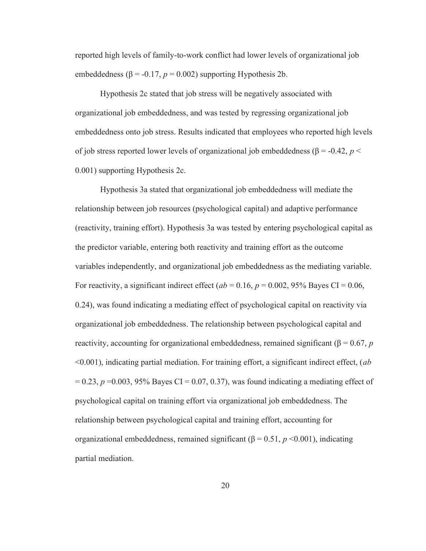reported high levels of family-to-work conflict had lower levels of organizational job embeddedness ( $\beta$  = -0.17,  $p$  = 0.002) supporting Hypothesis 2b.

Hypothesis 2c stated that job stress will be negatively associated with organizational job embeddedness, and was tested by regressing organizational job embeddedness onto job stress. Results indicated that employees who reported high levels of job stress reported lower levels of organizational job embeddedness (β = -0.42, *p* < 0.001) supporting Hypothesis 2c.

 Hypothesis 3a stated that organizational job embeddedness will mediate the relationship between job resources (psychological capital) and adaptive performance (reactivity, training effort). Hypothesis 3a was tested by entering psychological capital as the predictor variable, entering both reactivity and training effort as the outcome variables independently, and organizational job embeddedness as the mediating variable. For reactivity, a significant indirect effect ( $ab = 0.16$ ,  $p = 0.002$ , 95% Bayes CI = 0.06, 0.24), was found indicating a mediating effect of psychological capital on reactivity via organizational job embeddedness. The relationship between psychological capital and reactivity, accounting for organizational embeddedness, remained significant (β = 0.67, *p* <0.001), indicating partial mediation. For training effort, a significant indirect effect, (*ab*  $= 0.23$ ,  $p = 0.003$ , 95% Bayes CI = 0.07, 0.37), was found indicating a mediating effect of psychological capital on training effort via organizational job embeddedness. The relationship between psychological capital and training effort, accounting for organizational embeddedness, remained significant (β = 0.51, *p* <0.001), indicating partial mediation.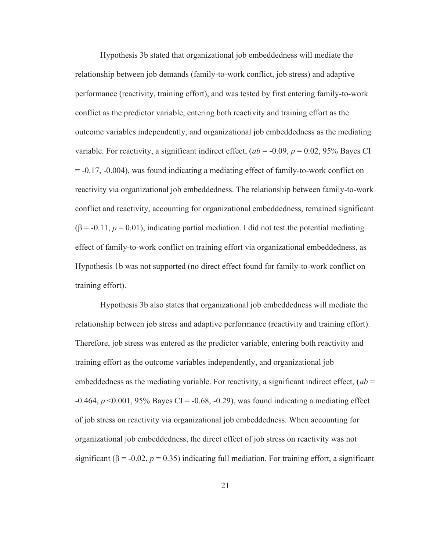Hypothesis 3b stated that organizational job embeddedness will mediate the relationship between job demands (family-to-work conflict, job stress) and adaptive performance (reactivity, training effort), and was tested by first entering family-to-work conflict as the predictor variable, entering both reactivity and training effort as the outcome variables independently, and organizational job embeddedness as the mediating variable. For reactivity, a significant indirect effect,  $(ab = -0.09, p = 0.02, 95\%$  Bayes CI = -0.17, -0.004), was found indicating a mediating effect of family-to-work conflict on reactivity via organizational job embeddedness. The relationship between family-to-work conflict and reactivity, accounting for organizational embeddedness, remained significant  $(\beta = -0.11, p = 0.01)$ , indicating partial mediation. I did not test the potential mediating effect of family-to-work conflict on training effort via organizational embeddedness, as Hypothesis 1b was not supported (no direct effect found for family-to-work conflict on training effort).

Hypothesis 3b also states that organizational job embeddedness will mediate the relationship between job stress and adaptive performance (reactivity and training effort). Therefore, job stress was entered as the predictor variable, entering both reactivity and training effort as the outcome variables independently, and organizational job embeddedness as the mediating variable. For reactivity, a significant indirect effect,  $(ab =$ -0.464, *p* <0.001, 95% Bayes CI = -0.68, -0.29), was found indicating a mediating effect of job stress on reactivity via organizational job embeddedness. When accounting for organizational job embeddedness, the direct effect of job stress on reactivity was not significant ( $\beta$  = -0.02,  $p$  = 0.35) indicating full mediation. For training effort, a significant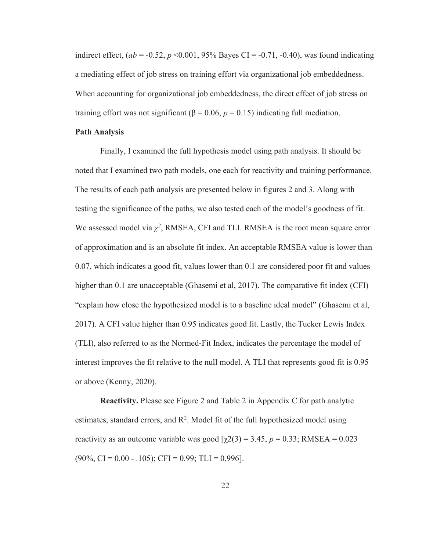indirect effect,  $(ab = -0.52, p < 0.001, 95\%$  Bayes CI =  $-0.71, -0.40$ ), was found indicating a mediating effect of job stress on training effort via organizational job embeddedness. When accounting for organizational job embeddedness, the direct effect of job stress on training effort was not significant ( $\beta$  = 0.06,  $p$  = 0.15) indicating full mediation.

#### Path Analysis

Finally, I examined the full hypothesis model using path analysis. It should be noted that I examined two path models, one each for reactivity and training performance. The results of each path analysis are presented below in figures 2 and 3. Along with testing the significance of the paths, we also tested each of the model's goodness of fit. We assessed model via  $\chi^2$ , RMSEA, CFI and TLI. RMSEA is the root mean square error of approximation and is an absolute fit index. An acceptable RMSEA value is lower than 0.07, which indicates a good fit, values lower than 0.1 are considered poor fit and values higher than 0.1 are unacceptable (Ghasemi et al, 2017). The comparative fit index (CFI) "explain how close the hypothesized model is to a baseline ideal model" (Ghasemi et al, 2017). A CFI value higher than 0.95 indicates good fit. Lastly, the Tucker Lewis Index (TLI), also referred to as the Normed-Fit Index, indicates the percentage the model of interest improves the fit relative to the null model. A TLI that represents good fit is 0.95 or above (Kenny, 2020).

Reactivity. Please see Figure 2 and Table 2 in Appendix C for path analytic estimates, standard errors, and  $\mathbb{R}^2$ . Model fit of the full hypothesized model using reactivity as an outcome variable was good  $[\gamma 2(3) = 3.45, p = 0.33; RMSEA = 0.023]$  $(90\%, \text{CI} = 0.00 - 0.105); \text{CFI} = 0.99; \text{TLI} = 0.996].$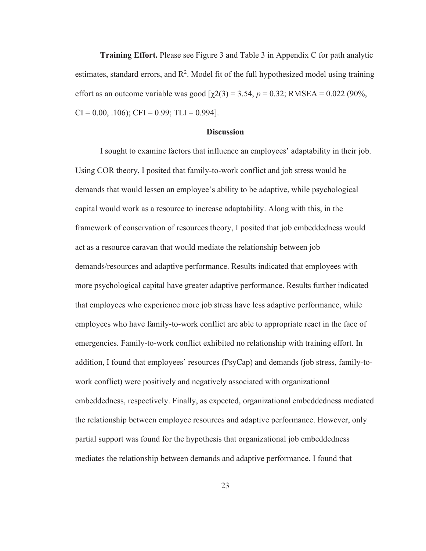Training Effort. Please see Figure 3 and Table 3 in Appendix C for path analytic estimates, standard errors, and  $\mathbb{R}^2$ . Model fit of the full hypothesized model using training effort as an outcome variable was good  $[\gamma 2(3) = 3.54, p = 0.32; RMSEA = 0.022 (90\%,$  $CI = 0.00, .106$ ;  $CFI = 0.99$ ;  $TLI = 0.994$ ].

#### **Discussion**

 I sought to examine factors that influence an employees' adaptability in their job. Using COR theory, I posited that family-to-work conflict and job stress would be demands that would lessen an employee's ability to be adaptive, while psychological capital would work as a resource to increase adaptability. Along with this, in the framework of conservation of resources theory, I posited that job embeddedness would act as a resource caravan that would mediate the relationship between job demands/resources and adaptive performance. Results indicated that employees with more psychological capital have greater adaptive performance. Results further indicated that employees who experience more job stress have less adaptive performance, while employees who have family-to-work conflict are able to appropriate react in the face of emergencies. Family-to-work conflict exhibited no relationship with training effort. In addition, I found that employees' resources (PsyCap) and demands (job stress, family-towork conflict) were positively and negatively associated with organizational embeddedness, respectively. Finally, as expected, organizational embeddedness mediated the relationship between employee resources and adaptive performance. However, only partial support was found for the hypothesis that organizational job embeddedness mediates the relationship between demands and adaptive performance. I found that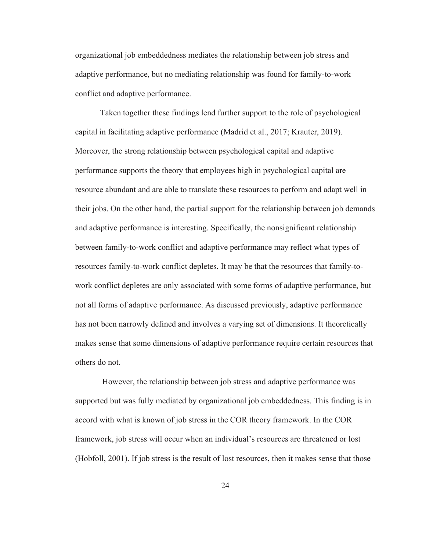organizational job embeddedness mediates the relationship between job stress and adaptive performance, but no mediating relationship was found for family-to-work conflict and adaptive performance.

Taken together these findings lend further support to the role of psychological capital in facilitating adaptive performance (Madrid et al., 2017; Krauter, 2019). Moreover, the strong relationship between psychological capital and adaptive performance supports the theory that employees high in psychological capital are resource abundant and are able to translate these resources to perform and adapt well in their jobs. On the other hand, the partial support for the relationship between job demands and adaptive performance is interesting. Specifically, the nonsignificant relationship between family-to-work conflict and adaptive performance may reflect what types of resources family-to-work conflict depletes. It may be that the resources that family-towork conflict depletes are only associated with some forms of adaptive performance, but not all forms of adaptive performance. As discussed previously, adaptive performance has not been narrowly defined and involves a varying set of dimensions. It theoretically makes sense that some dimensions of adaptive performance require certain resources that others do not.

 However, the relationship between job stress and adaptive performance was supported but was fully mediated by organizational job embeddedness. This finding is in accord with what is known of job stress in the COR theory framework. In the COR framework, job stress will occur when an individual's resources are threatened or lost (Hobfoll, 2001). If job stress is the result of lost resources, then it makes sense that those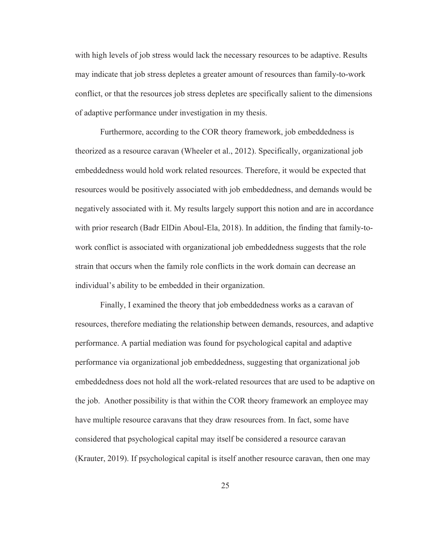with high levels of job stress would lack the necessary resources to be adaptive. Results may indicate that job stress depletes a greater amount of resources than family-to-work conflict, or that the resources job stress depletes are specifically salient to the dimensions of adaptive performance under investigation in my thesis.

 Furthermore, according to the COR theory framework, job embeddedness is theorized as a resource caravan (Wheeler et al., 2012). Specifically, organizational job embeddedness would hold work related resources. Therefore, it would be expected that resources would be positively associated with job embeddedness, and demands would be negatively associated with it. My results largely support this notion and are in accordance with prior research (Badr ElDin Aboul-Ela, 2018). In addition, the finding that family-towork conflict is associated with organizational job embeddedness suggests that the role strain that occurs when the family role conflicts in the work domain can decrease an individual's ability to be embedded in their organization.

 Finally, I examined the theory that job embeddedness works as a caravan of resources, therefore mediating the relationship between demands, resources, and adaptive performance. A partial mediation was found for psychological capital and adaptive performance via organizational job embeddedness, suggesting that organizational job embeddedness does not hold all the work-related resources that are used to be adaptive on the job. Another possibility is that within the COR theory framework an employee may have multiple resource caravans that they draw resources from. In fact, some have considered that psychological capital may itself be considered a resource caravan (Krauter, 2019). If psychological capital is itself another resource caravan, then one may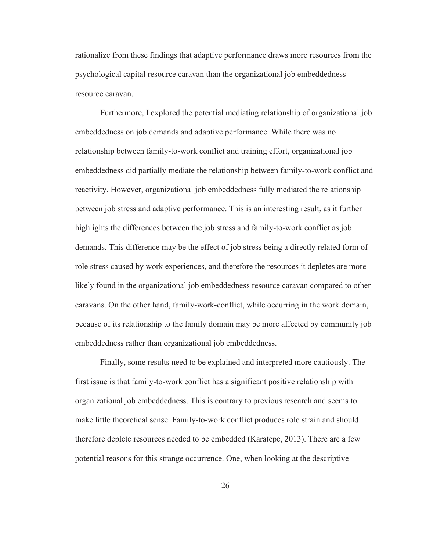rationalize from these findings that adaptive performance draws more resources from the psychological capital resource caravan than the organizational job embeddedness resource caravan.

 Furthermore, I explored the potential mediating relationship of organizational job embeddedness on job demands and adaptive performance. While there was no relationship between family-to-work conflict and training effort, organizational job embeddedness did partially mediate the relationship between family-to-work conflict and reactivity. However, organizational job embeddedness fully mediated the relationship between job stress and adaptive performance. This is an interesting result, as it further highlights the differences between the job stress and family-to-work conflict as job demands. This difference may be the effect of job stress being a directly related form of role stress caused by work experiences, and therefore the resources it depletes are more likely found in the organizational job embeddedness resource caravan compared to other caravans. On the other hand, family-work-conflict, while occurring in the work domain, because of its relationship to the family domain may be more affected by community job embeddedness rather than organizational job embeddedness.

 Finally, some results need to be explained and interpreted more cautiously. The first issue is that family-to-work conflict has a significant positive relationship with organizational job embeddedness. This is contrary to previous research and seems to make little theoretical sense. Family-to-work conflict produces role strain and should therefore deplete resources needed to be embedded (Karatepe, 2013). There are a few potential reasons for this strange occurrence. One, when looking at the descriptive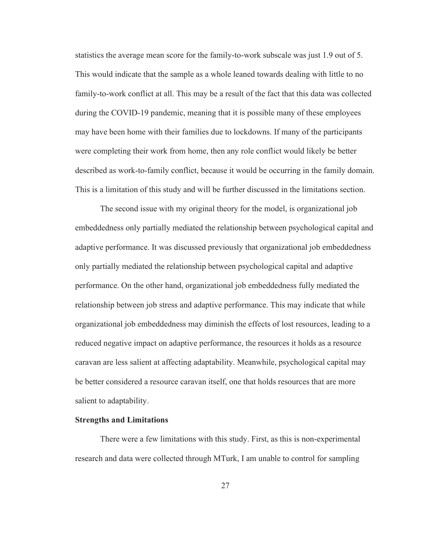statistics the average mean score for the family-to-work subscale was just 1.9 out of 5. This would indicate that the sample as a whole leaned towards dealing with little to no family-to-work conflict at all. This may be a result of the fact that this data was collected during the COVID-19 pandemic, meaning that it is possible many of these employees may have been home with their families due to lockdowns. If many of the participants were completing their work from home, then any role conflict would likely be better described as work-to-family conflict, because it would be occurring in the family domain. This is a limitation of this study and will be further discussed in the limitations section.

The second issue with my original theory for the model, is organizational job embeddedness only partially mediated the relationship between psychological capital and adaptive performance. It was discussed previously that organizational job embeddedness only partially mediated the relationship between psychological capital and adaptive performance. On the other hand, organizational job embeddedness fully mediated the relationship between job stress and adaptive performance. This may indicate that while organizational job embeddedness may diminish the effects of lost resources, leading to a reduced negative impact on adaptive performance, the resources it holds as a resource caravan are less salient at affecting adaptability. Meanwhile, psychological capital may be better considered a resource caravan itself, one that holds resources that are more salient to adaptability.

#### Strengths and Limitations

There were a few limitations with this study. First, as this is non-experimental research and data were collected through MTurk, I am unable to control for sampling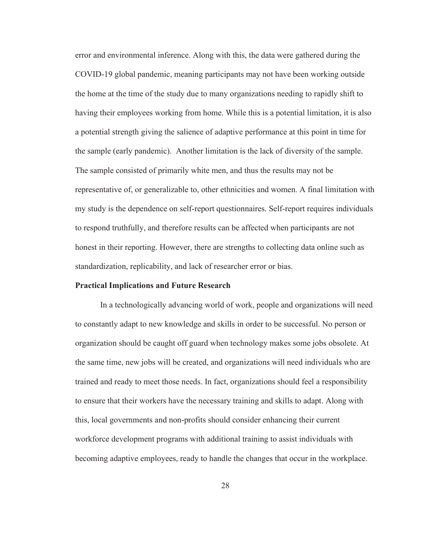error and environmental inference. Along with this, the data were gathered during the COVID-19 global pandemic, meaning participants may not have been working outside the home at the time of the study due to many organizations needing to rapidly shift to having their employees working from home. While this is a potential limitation, it is also a potential strength giving the salience of adaptive performance at this point in time for the sample (early pandemic). Another limitation is the lack of diversity of the sample. The sample consisted of primarily white men, and thus the results may not be representative of, or generalizable to, other ethnicities and women. A final limitation with my study is the dependence on self-report questionnaires. Self-report requires individuals to respond truthfully, and therefore results can be affected when participants are not honest in their reporting. However, there are strengths to collecting data online such as standardization, replicability, and lack of researcher error or bias.

#### Practical Implications and Future Research

 In a technologically advancing world of work, people and organizations will need to constantly adapt to new knowledge and skills in order to be successful. No person or organization should be caught off guard when technology makes some jobs obsolete. At the same time, new jobs will be created, and organizations will need individuals who are trained and ready to meet those needs. In fact, organizations should feel a responsibility to ensure that their workers have the necessary training and skills to adapt. Along with this, local governments and non-profits should consider enhancing their current workforce development programs with additional training to assist individuals with becoming adaptive employees, ready to handle the changes that occur in the workplace.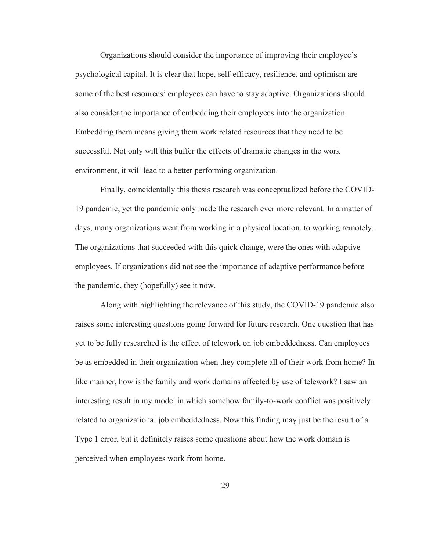Organizations should consider the importance of improving their employee's psychological capital. It is clear that hope, self-efficacy, resilience, and optimism are some of the best resources' employees can have to stay adaptive. Organizations should also consider the importance of embedding their employees into the organization. Embedding them means giving them work related resources that they need to be successful. Not only will this buffer the effects of dramatic changes in the work environment, it will lead to a better performing organization.

 Finally, coincidentally this thesis research was conceptualized before the COVID-19 pandemic, yet the pandemic only made the research ever more relevant. In a matter of days, many organizations went from working in a physical location, to working remotely. The organizations that succeeded with this quick change, were the ones with adaptive employees. If organizations did not see the importance of adaptive performance before the pandemic, they (hopefully) see it now.

 Along with highlighting the relevance of this study, the COVID-19 pandemic also raises some interesting questions going forward for future research. One question that has yet to be fully researched is the effect of telework on job embeddedness. Can employees be as embedded in their organization when they complete all of their work from home? In like manner, how is the family and work domains affected by use of telework? I saw an interesting result in my model in which somehow family-to-work conflict was positively related to organizational job embeddedness. Now this finding may just be the result of a Type 1 error, but it definitely raises some questions about how the work domain is perceived when employees work from home.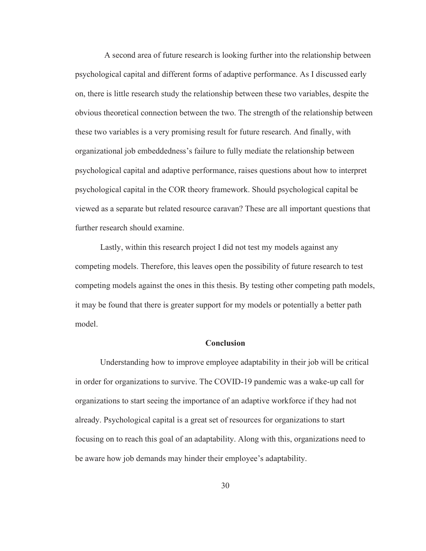A second area of future research is looking further into the relationship between psychological capital and different forms of adaptive performance. As I discussed early on, there is little research study the relationship between these two variables, despite the obvious theoretical connection between the two. The strength of the relationship between these two variables is a very promising result for future research. And finally, with organizational job embeddedness's failure to fully mediate the relationship between psychological capital and adaptive performance, raises questions about how to interpret psychological capital in the COR theory framework. Should psychological capital be viewed as a separate but related resource caravan? These are all important questions that further research should examine.

 Lastly, within this research project I did not test my models against any competing models. Therefore, this leaves open the possibility of future research to test competing models against the ones in this thesis. By testing other competing path models, it may be found that there is greater support for my models or potentially a better path model.

#### **Conclusion**

Understanding how to improve employee adaptability in their job will be critical in order for organizations to survive. The COVID-19 pandemic was a wake-up call for organizations to start seeing the importance of an adaptive workforce if they had not already. Psychological capital is a great set of resources for organizations to start focusing on to reach this goal of an adaptability. Along with this, organizations need to be aware how job demands may hinder their employee's adaptability.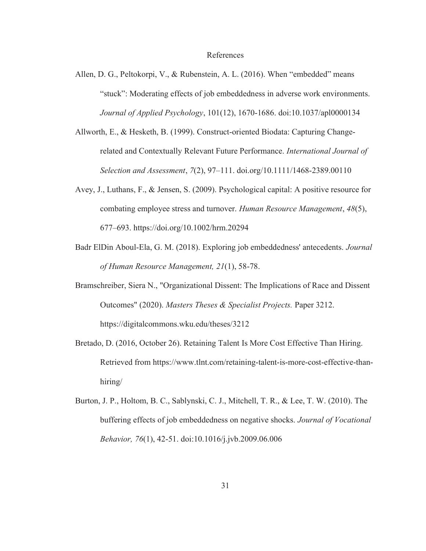#### References

- Allen, D. G., Peltokorpi, V., & Rubenstein, A. L. (2016). When "embedded" means "stuck": Moderating effects of job embeddedness in adverse work environments. *Journal of Applied Psychology*, 101(12), 1670-1686. doi:10.1037/apl0000134
- Allworth, E., & Hesketh, B. (1999). Construct-oriented Biodata: Capturing Changerelated and Contextually Relevant Future Performance. *International Journal of Selection and Assessment*, *7*(2), 97–111. doi.org/10.1111/1468-2389.00110
- Avey, J., Luthans, F., & Jensen, S. (2009). Psychological capital: A positive resource for combating employee stress and turnover. *Human Resource Management*, *48*(5), 677–693. https://doi.org/10.1002/hrm.20294
- Badr ElDin Aboul-Ela, G. M. (2018). Exploring job embeddedness' antecedents. *Journal of Human Resource Management, 21*(1), 58-78.
- Bramschreiber, Siera N., "Organizational Dissent: The Implications of Race and Dissent Outcomes" (2020). *Masters Theses & Specialist Projects.* Paper 3212. https://digitalcommons.wku.edu/theses/3212
- Bretado, D. (2016, October 26). Retaining Talent Is More Cost Effective Than Hiring. Retrieved from https://www.tlnt.com/retaining-talent-is-more-cost-effective-thanhiring/
- Burton, J. P., Holtom, B. C., Sablynski, C. J., Mitchell, T. R., & Lee, T. W. (2010). The buffering effects of job embeddedness on negative shocks. *Journal of Vocational Behavior, 76*(1), 42-51. doi:10.1016/j.jvb.2009.06.006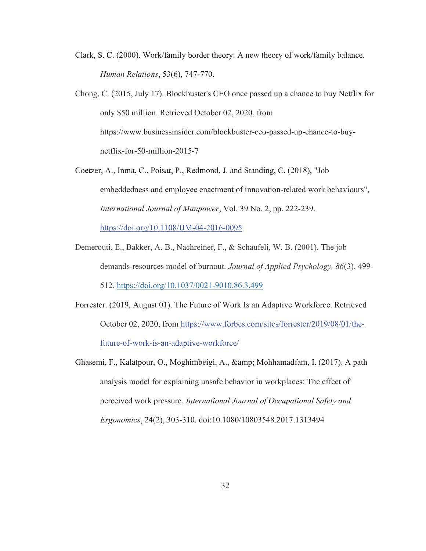- Clark, S. C. (2000). Work/family border theory: A new theory of work/family balance. *Human Relations*, 53(6), 747-770.
- Chong, C. (2015, July 17). Blockbuster's CEO once passed up a chance to buy Netflix for only \$50 million. Retrieved October 02, 2020, from https://www.businessinsider.com/blockbuster-ceo-passed-up-chance-to-buynetflix-for-50-million-2015-7
- Coetzer, A., Inma, C., Poisat, P., Redmond, J. and Standing, C. (2018), "Job embeddedness and employee enactment of innovation-related work behaviours", *International Journal of Manpower*, Vol. 39 No. 2, pp. 222-239.

https://doi.org/10.1108/IJM-04-2016-0095

- Demerouti, E., Bakker, A. B., Nachreiner, F., & Schaufeli, W. B. (2001). The job demands-resources model of burnout. *Journal of Applied Psychology, 86*(3), 499- 512. https://doi.org/10.1037/0021-9010.86.3.499
- Forrester. (2019, August 01). The Future of Work Is an Adaptive Workforce. Retrieved October 02, 2020, from https://www.forbes.com/sites/forrester/2019/08/01/thefuture-of-work-is-an-adaptive-workforce/
- Ghasemi, F., Kalatpour, O., Moghimbeigi, A., & Mohhamadfam, I. (2017). A path analysis model for explaining unsafe behavior in workplaces: The effect of perceived work pressure. *International Journal of Occupational Safety and Ergonomics*, 24(2), 303-310. doi:10.1080/10803548.2017.1313494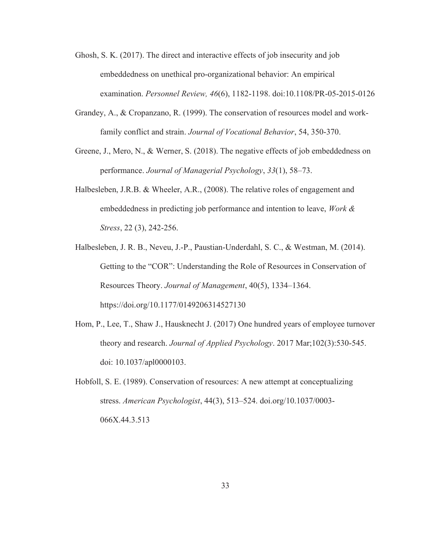- Ghosh, S. K. (2017). The direct and interactive effects of job insecurity and job embeddedness on unethical pro-organizational behavior: An empirical examination. *Personnel Review, 46*(6), 1182-1198. doi:10.1108/PR-05-2015-0126
- Grandey, A., & Cropanzano, R. (1999). The conservation of resources model and workfamily conflict and strain. *Journal of Vocational Behavior*, 54, 350-370.
- Greene, J., Mero, N., & Werner, S. (2018). The negative effects of job embeddedness on performance. *Journal of Managerial Psychology*, *33*(1), 58–73.
- Halbesleben, J.R.B. & Wheeler, A.R., (2008). The relative roles of engagement and embeddedness in predicting job performance and intention to leave, *Work & Stress*, 22 (3), 242-256.
- Halbesleben, J. R. B., Neveu, J.-P., Paustian-Underdahl, S. C., & Westman, M. (2014). Getting to the "COR": Understanding the Role of Resources in Conservation of Resources Theory. *Journal of Management*, 40(5), 1334–1364. https://doi.org/10.1177/0149206314527130
- Hom, P., Lee, T., Shaw J., Hausknecht J. (2017) One hundred years of employee turnover theory and research. *Journal of Applied Psychology*. 2017 Mar;102(3):530-545. doi: 10.1037/apl0000103.
- Hobfoll, S. E. (1989). Conservation of resources: A new attempt at conceptualizing stress. *American Psychologist*, 44(3), 513–524. doi.org/10.1037/0003- 066X.44.3.513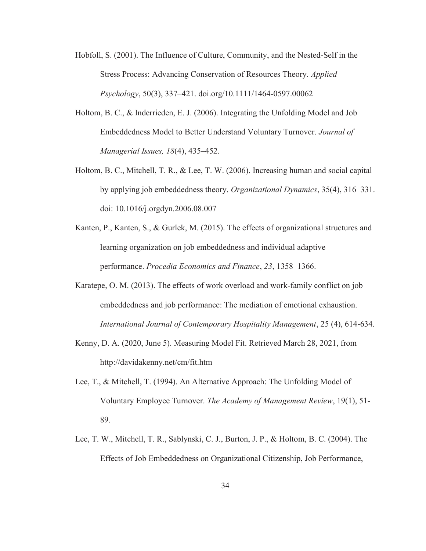- Hobfoll, S. (2001). The Influence of Culture, Community, and the Nested‐Self in the Stress Process: Advancing Conservation of Resources Theory. *Applied Psychology*, 50(3), 337–421. doi.org/10.1111/1464-0597.00062
- Holtom, B. C., & Inderrieden, E. J. (2006). Integrating the Unfolding Model and Job Embeddedness Model to Better Understand Voluntary Turnover. *Journal of Managerial Issues, 18*(4), 435–452.
- Holtom, B. C., Mitchell, T. R., & Lee, T. W. (2006). Increasing human and social capital by applying job embeddedness theory. *Organizational Dynamics*, 35(4), 316–331. doi: 10.1016/j.orgdyn.2006.08.007
- Kanten, P., Kanten, S., & Gurlek, M. (2015). The effects of organizational structures and learning organization on job embeddedness and individual adaptive performance. *Procedia Economics and Finance*, *23*, 1358–1366.
- Karatepe, O. M. (2013). The effects of work overload and work-family conflict on job embeddedness and job performance: The mediation of emotional exhaustion. *International Journal of Contemporary Hospitality Management*, 25 (4), 614-634.
- Kenny, D. A. (2020, June 5). Measuring Model Fit. Retrieved March 28, 2021, from http://davidakenny.net/cm/fit.htm
- Lee, T., & Mitchell, T. (1994). An Alternative Approach: The Unfolding Model of Voluntary Employee Turnover. *The Academy of Management Review*, 19(1), 51- 89.
- Lee, T. W., Mitchell, T. R., Sablynski, C. J., Burton, J. P., & Holtom, B. C. (2004). The Effects of Job Embeddedness on Organizational Citizenship, Job Performance,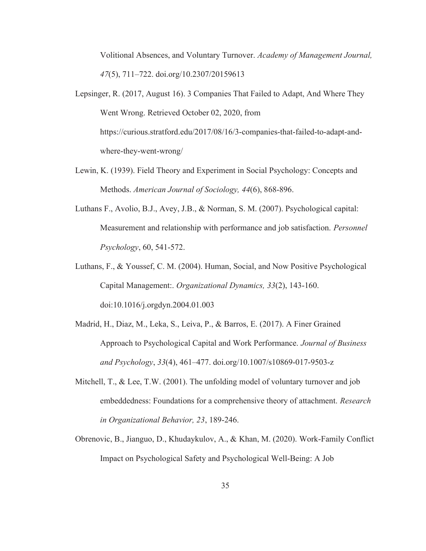Volitional Absences, and Voluntary Turnover. *Academy of Management Journal, 47*(5), 711–722. doi.org/10.2307/20159613

- Lepsinger, R. (2017, August 16). 3 Companies That Failed to Adapt, And Where They Went Wrong. Retrieved October 02, 2020, from https://curious.stratford.edu/2017/08/16/3-companies-that-failed-to-adapt-andwhere-they-went-wrong/
- Lewin, K. (1939). Field Theory and Experiment in Social Psychology: Concepts and Methods. *American Journal of Sociology, 44*(6), 868-896.
- Luthans F., Avolio, B.J., Avey, J.B., & Norman, S. M. (2007). Psychological capital: Measurement and relationship with performance and job satisfaction. *Personnel Psychology*, 60, 541-572.
- Luthans, F., & Youssef, C. M. (2004). Human, Social, and Now Positive Psychological Capital Management:. *Organizational Dynamics, 33*(2), 143-160. doi:10.1016/j.orgdyn.2004.01.003
- Madrid, H., Diaz, M., Leka, S., Leiva, P., & Barros, E. (2017). A Finer Grained Approach to Psychological Capital and Work Performance. *Journal of Business and Psychology*, *33*(4), 461–477. doi.org/10.1007/s10869-017-9503-z
- Mitchell,  $T_{\rm H}$ , & Lee, T.W. (2001). The unfolding model of voluntary turnover and job embeddedness: Foundations for a comprehensive theory of attachment. *Research in Organizational Behavior, 23*, 189-246.
- Obrenovic, B., Jianguo, D., Khudaykulov, A., & Khan, M. (2020). Work-Family Conflict Impact on Psychological Safety and Psychological Well-Being: A Job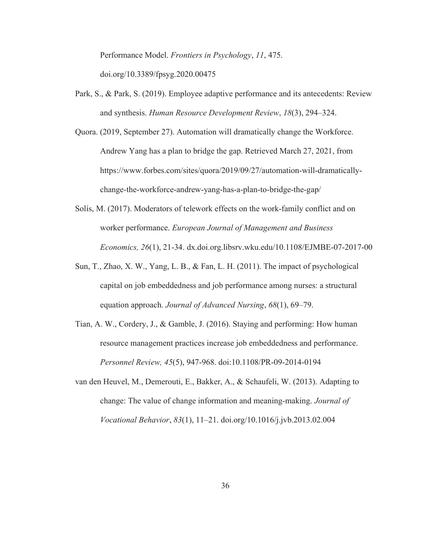Performance Model. *Frontiers in Psychology*, *11*, 475. doi.org/10.3389/fpsyg.2020.00475

- Park, S., & Park, S. (2019). Employee adaptive performance and its antecedents: Review and synthesis. *Human Resource Development Review*, *18*(3), 294–324.
- Quora. (2019, September 27). Automation will dramatically change the Workforce. Andrew Yang has a plan to bridge the gap. Retrieved March 27, 2021, from https://www.forbes.com/sites/quora/2019/09/27/automation-will-dramaticallychange-the-workforce-andrew-yang-has-a-plan-to-bridge-the-gap/
- Solís, M. (2017). Moderators of telework effects on the work-family conflict and on worker performance. *European Journal of Management and Business Economics, 26*(1), 21-34. dx.doi.org.libsrv.wku.edu/10.1108/EJMBE-07-2017-00
- Sun, T., Zhao, X. W., Yang, L. B., & Fan, L. H. (2011). The impact of psychological capital on job embeddedness and job performance among nurses: a structural equation approach. *Journal of Advanced Nursing*, *68*(1), 69–79.
- Tian, A. W., Cordery, J., & Gamble, J. (2016). Staying and performing: How human resource management practices increase job embeddedness and performance. *Personnel Review, 45*(5), 947-968. doi:10.1108/PR-09-2014-0194
- van den Heuvel, M., Demerouti, E., Bakker, A., & Schaufeli, W. (2013). Adapting to change: The value of change information and meaning-making. *Journal of Vocational Behavior*, *83*(1), 11–21. doi.org/10.1016/j.jvb.2013.02.004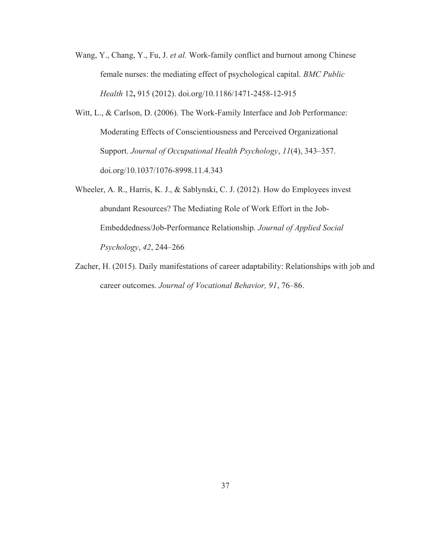- Wang, Y., Chang, Y., Fu, J. *et al.* Work-family conflict and burnout among Chinese female nurses: the mediating effect of psychological capital. *BMC Public Health* 12, 915 (2012). doi.org/10.1186/1471-2458-12-915
- Witt, L., & Carlson, D. (2006). The Work-Family Interface and Job Performance: Moderating Effects of Conscientiousness and Perceived Organizational Support. *Journal of Occupational Health Psychology*, *11*(4), 343–357. doi.org/10.1037/1076-8998.11.4.343
- Wheeler, A. R., Harris, K. J., & Sablynski, C. J. (2012). How do Employees invest abundant Resources? The Mediating Role of Work Effort in the Job-Embeddedness/Job-Performance Relationship. *Journal of Applied Social Psychology*, *42*, 244–266
- Zacher, H. (2015). Daily manifestations of career adaptability: Relationships with job and career outcomes. *Journal of Vocational Behavior, 91*, 76–86.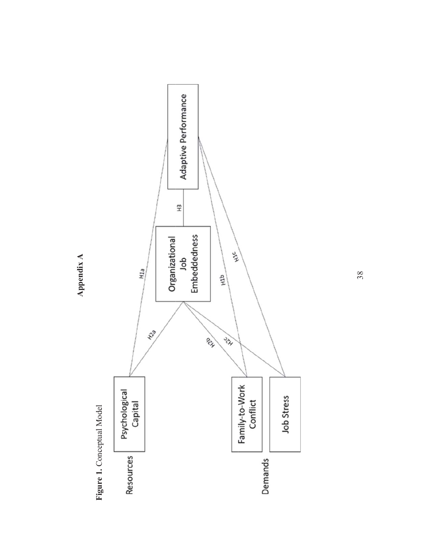

Appendix A Appendix A

38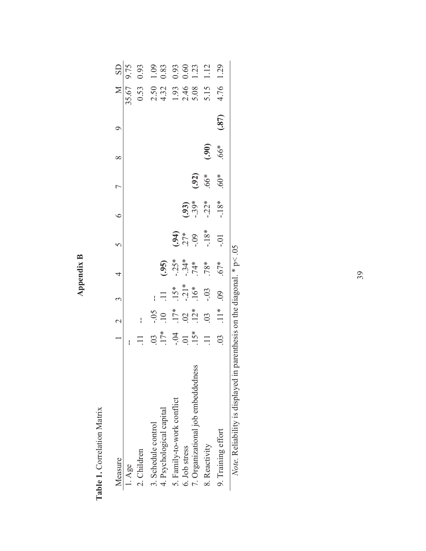| ≃ |
|---|
| è |
|   |
| г |
| ø |

Table 1. Correlation Matrix Table 1. Correlation Matrix

| Measure                                                                                      |                                | $1 \quad 2 \quad 3$ |                       | $\overline{A}$   | $\frac{5}{2}$                    | $\circ$            | $\overline{C}$ | $\infty$                 | $\circ$ |                            |                                                     |
|----------------------------------------------------------------------------------------------|--------------------------------|---------------------|-----------------------|------------------|----------------------------------|--------------------|----------------|--------------------------|---------|----------------------------|-----------------------------------------------------|
| $1. \text{Age}$                                                                              |                                |                     |                       |                  |                                  |                    |                |                          |         | 35.67                      | M SD<br>5.67 9.75                                   |
| 2. Children                                                                                  |                                | ł                   |                       |                  |                                  |                    |                |                          |         | 0.53                       | 0.93                                                |
| 3. Schedule control                                                                          |                                |                     | ł                     |                  |                                  |                    |                |                          |         |                            |                                                     |
| 4. Psychological capital                                                                     | $03*$                          | $-0.5$              | $\overline{11}$       | (35)             |                                  |                    |                |                          |         | 2.50<br>4.32               | 1.09<br>0.83                                        |
| 5. Family-to-work conflict                                                                   |                                | $\frac{17*}{00}$    |                       |                  |                                  |                    |                |                          |         |                            | $\begin{array}{c} 0.93 \\ 0.60 \\ 1.23 \end{array}$ |
| 6. Job stress                                                                                |                                |                     | $15*$<br>-21*<br>-16* |                  |                                  |                    |                |                          |         |                            |                                                     |
| 7. Organizational job embeddedness                                                           | $-0.04$<br>5.5 $\frac{15}{15}$ |                     |                       | $-34*$<br>$-34*$ | $(1, 6)$<br>$(1, 6)$<br>$(1, 6)$ | $(.93)$<br>$-.39*$ | (.92)          |                          |         | $1.93$<br>$2.46$<br>$5.08$ |                                                     |
| 8. Reactivity                                                                                | $\Box$                         | .03                 | $-0.03$               | $.78*$           | $-18*$                           | $-0.22*$           | *99.           | $\widetilde{\mathbf{5}}$ |         | 5.15                       | 1.12                                                |
| 9. Training effort                                                                           | $\overline{0}$                 | $\prod_{i=1}^{n}$   | $\overline{0}$        | 67*              | $-0.1$                           | $-18*$             | $60*$          | 66*                      | (387)   | 4.76                       | 1.29                                                |
| $N_{\alpha\beta}$ Relighility is displayed in parenthesis on the diagonal $* \in \mathbb{R}$ |                                |                     |                       |                  |                                  |                    |                |                          |         |                            |                                                     |

*Note.* Reliability is displayed in parenthesis on the diagonal. \* p< .05 *Note*. Keliability is displayed in parenthesis on the diagonal.  $\gamma$  p $\leq$ .05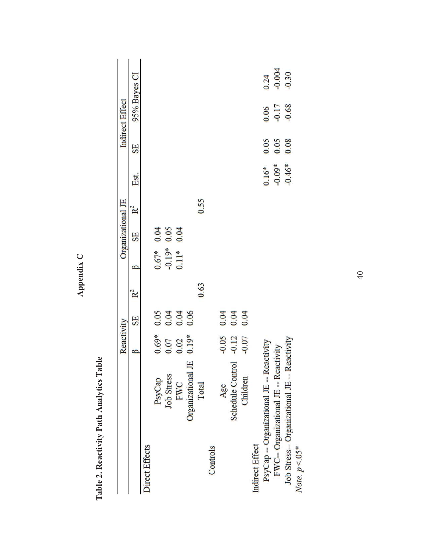|                                              | Reactivity                                                      |                      |                |                        | Organizational JE                                   |                |                      |              | Indirect Effect                                             |                       |
|----------------------------------------------|-----------------------------------------------------------------|----------------------|----------------|------------------------|-----------------------------------------------------|----------------|----------------------|--------------|-------------------------------------------------------------|-----------------------|
|                                              | $\mathbf{\Omega}$                                               | SE                   | R <sup>2</sup> | ≏                      | SE                                                  | R <sup>2</sup> | Est.                 | SE           | 95% Bayes CI                                                |                       |
| Direct Effects                               |                                                                 |                      |                |                        |                                                     |                |                      |              |                                                             |                       |
| PsyCap                                       |                                                                 |                      |                |                        |                                                     |                |                      |              |                                                             |                       |
| <b>Job Stress</b>                            | $\begin{array}{c} 0.69^* \\ 0.07 \\ 0.02 \\ 0.19^* \end{array}$ | 0.03<br>0.04<br>0.06 |                | $\frac{0.67*}{-0.19*}$ | $\begin{array}{c} 0.04 \\ 0.05 \\ 0.04 \end{array}$ |                |                      |              |                                                             |                       |
| FWC                                          |                                                                 |                      |                |                        |                                                     |                |                      |              |                                                             |                       |
| Organizational JE                            |                                                                 |                      |                |                        |                                                     |                |                      |              |                                                             |                       |
| Total                                        |                                                                 |                      | 0.63           |                        |                                                     | 0.55           |                      |              |                                                             |                       |
| Controls                                     |                                                                 |                      |                |                        |                                                     |                |                      |              |                                                             |                       |
| Age                                          |                                                                 |                      |                |                        |                                                     |                |                      |              |                                                             |                       |
| Schedule Control                             | $-0.05$<br>$-0.12$<br>$-0.07$                                   | $0.04$<br>0.04       |                |                        |                                                     |                |                      |              |                                                             |                       |
| Children                                     |                                                                 |                      |                |                        |                                                     |                |                      |              |                                                             |                       |
| <b>Indirect Effect</b>                       |                                                                 |                      |                |                        |                                                     |                |                      |              |                                                             |                       |
| PsyCap -- Organizational JE -- Reactivity    |                                                                 |                      |                |                        |                                                     |                | $0.16*$              |              |                                                             |                       |
| FWC-- Organizational JE -- Reactivity        |                                                                 |                      |                |                        |                                                     |                | $-0.09*$<br>$-0.46*$ | 0.05<br>0.05 | $\begin{array}{c} 0.06 \\ 1.17 \\ 0.17 \\ 0.68 \end{array}$ | $\frac{0.24}{-0.004}$ |
| Job Stress-- Organizational JE -- Reactivity |                                                                 |                      |                |                        |                                                     |                |                      |              |                                                             |                       |
| Note, $p < 0.5^*$                            |                                                                 |                      |                |                        |                                                     |                |                      |              |                                                             |                       |
|                                              |                                                                 |                      |                |                        |                                                     |                |                      |              |                                                             |                       |

Appendix C Appendix C

> Table 2. Reactivity Path Analytics Table Table 2. Reactivity Path Analytics Table

40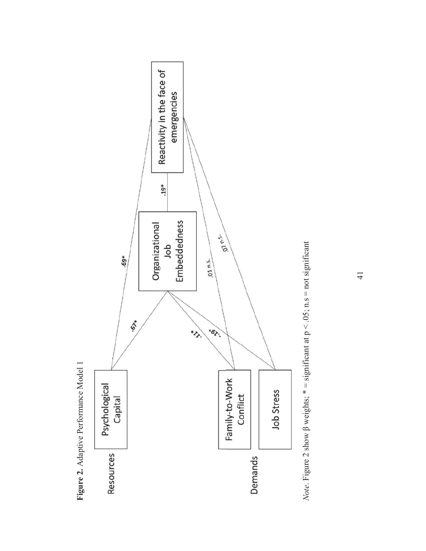

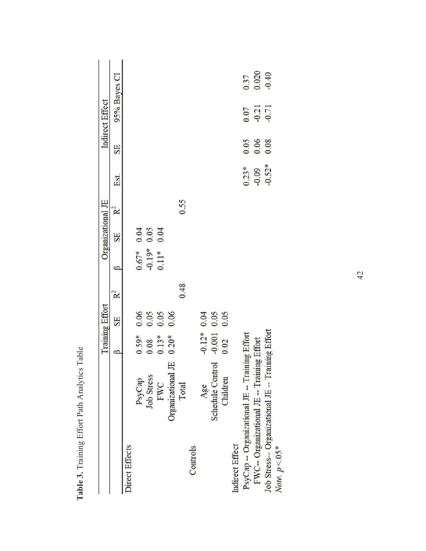|                                                                      |                   | <b>Training Effort</b> |                                                             |                |                      | Organizational JE                                   |                |          |                                                     | <b>Indirect Effect</b> |                        |
|----------------------------------------------------------------------|-------------------|------------------------|-------------------------------------------------------------|----------------|----------------------|-----------------------------------------------------|----------------|----------|-----------------------------------------------------|------------------------|------------------------|
|                                                                      |                   | ß                      | SE                                                          | R <sup>2</sup> | ß                    | SE                                                  | R <sup>2</sup> | Est.     | SE                                                  | 95% Bayes CI           |                        |
| Direct Effects                                                       |                   |                        |                                                             |                |                      |                                                     |                |          |                                                     |                        |                        |
|                                                                      | PsyCap            | $0.59*$                |                                                             |                | $0.67*$              |                                                     |                |          |                                                     |                        |                        |
|                                                                      | <b>Job Stress</b> |                        |                                                             |                | $-0.19$ <sup>*</sup> | $\begin{array}{c} 0.04 \\ 0.05 \\ 0.04 \end{array}$ |                |          |                                                     |                        |                        |
|                                                                      | FWC               | $\frac{0.08}{0.13}$    | $\begin{array}{c} 0.06 \\ 0.05 \\ 0.05 \\ 0.06 \end{array}$ |                |                      |                                                     |                |          |                                                     |                        |                        |
|                                                                      | Organizational JE |                        |                                                             |                |                      |                                                     |                |          |                                                     |                        |                        |
|                                                                      | Total             |                        |                                                             | 0.48           |                      |                                                     | 0.55           |          |                                                     |                        |                        |
| Controls                                                             |                   |                        |                                                             |                |                      |                                                     |                |          |                                                     |                        |                        |
|                                                                      | Age               | $-0.12*$               |                                                             |                |                      |                                                     |                |          |                                                     |                        |                        |
|                                                                      | Schedule Control  | $-0.001$               | $\begin{array}{c} 0.04 \\ 0.05 \\ 0.05 \end{array}$         |                |                      |                                                     |                |          |                                                     |                        |                        |
|                                                                      | Children          | 0.02                   |                                                             |                |                      |                                                     |                |          |                                                     |                        |                        |
| Indirect Effect                                                      |                   |                        |                                                             |                |                      |                                                     |                |          |                                                     |                        |                        |
| PsyCap -- Organizational JE -- Training Effort                       |                   |                        |                                                             |                |                      |                                                     |                | $0.23*$  |                                                     |                        |                        |
| FWC-- Organizational JE -- Training Effort                           |                   |                        |                                                             |                |                      |                                                     |                | $-0.09$  | $\begin{array}{c} 0.05 \\ 0.06 \\ 0.08 \end{array}$ | $\frac{0.07}{0.21}$    | 0.37<br>0.020<br>-0.40 |
| Job Stress-- Organizational JE -- Training Effort<br>Note. $p < 05*$ |                   |                        |                                                             |                |                      |                                                     |                | $-0.52*$ |                                                     |                        |                        |
|                                                                      |                   |                        |                                                             |                |                      |                                                     |                |          |                                                     |                        |                        |

Table 3. Training Effort Path Analytics Table Table 3. Training Effort Path Analytics Table

42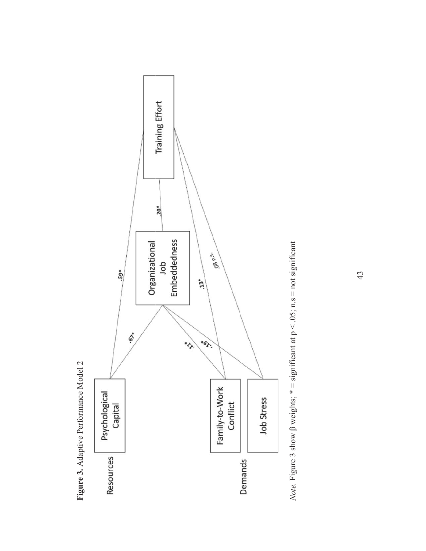

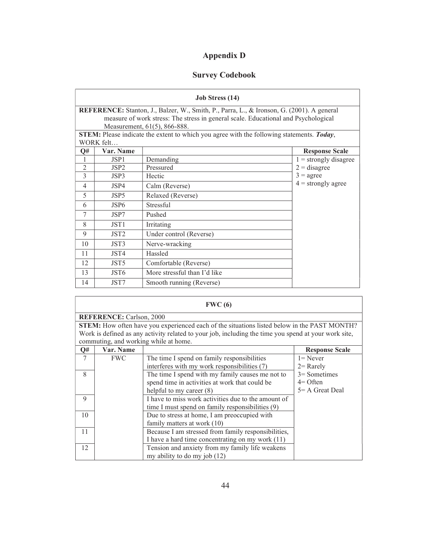# Appendix D

## Survey Codebook

|                          |                  | <b>Job Stress (14)</b>                                                                                                                                                                                                 |                         |
|--------------------------|------------------|------------------------------------------------------------------------------------------------------------------------------------------------------------------------------------------------------------------------|-------------------------|
|                          |                  | <b>REFERENCE:</b> Stanton, J., Balzer, W., Smith, P., Parra, L., & Ironson, G. (2001). A general<br>measure of work stress: The stress in general scale. Educational and Psychological<br>Measurement, 61(5), 866-888. |                         |
|                          | WORK felt        | STEM: Please indicate the extent to which you agree with the following statements. Today,                                                                                                                              |                         |
| Q#                       | <b>Var. Name</b> |                                                                                                                                                                                                                        | <b>Response Scale</b>   |
| 1                        | JSP1             | Demanding                                                                                                                                                                                                              | $1 =$ strongly disagree |
| $\overline{2}$           | JSP <sub>2</sub> | Pressured                                                                                                                                                                                                              | $2 =$ disagree          |
| 3                        | JSP3             | Hectic                                                                                                                                                                                                                 | $3 = \text{agree}$      |
| $\overline{4}$           | JSP4             | Calm (Reverse)                                                                                                                                                                                                         | $4 =$ strongly agree    |
| $\overline{\mathcal{L}}$ | JSP <sub>5</sub> | Relaxed (Reverse)                                                                                                                                                                                                      |                         |
| 6                        | JSP <sub>6</sub> | Stressful                                                                                                                                                                                                              |                         |
| 7                        | JSP7             | Pushed                                                                                                                                                                                                                 |                         |
| 8                        | JST <sub>1</sub> | Irritating                                                                                                                                                                                                             |                         |
| 9                        | JST <sub>2</sub> | Under control (Reverse)                                                                                                                                                                                                |                         |
| 10                       | JST3             | Nerve-wracking                                                                                                                                                                                                         |                         |
| 11                       | JST4             | Hassled                                                                                                                                                                                                                |                         |
| 12                       | JST <sub>5</sub> | Comfortable (Reverse)                                                                                                                                                                                                  |                         |
| 13                       | JST6             | More stressful than I'd like                                                                                                                                                                                           |                         |
| 14                       | JST7             | Smooth running (Reverse)                                                                                                                                                                                               |                         |

|    |                                 | FWC(6)                                                                                               |                       |
|----|---------------------------------|------------------------------------------------------------------------------------------------------|-----------------------|
|    | <b>REFERENCE:</b> Carlson, 2000 |                                                                                                      |                       |
|    |                                 | <b>STEM:</b> How often have you experienced each of the situations listed below in the PAST MONTH?   |                       |
|    |                                 | Work is defined as any activity related to your job, including the time you spend at your work site, |                       |
|    |                                 | commuting, and working while at home.                                                                |                       |
| Q# | Var. Name                       |                                                                                                      | <b>Response Scale</b> |
| 7  | <b>FWC</b>                      | The time I spend on family responsibilities                                                          | $l =$ Never           |
|    |                                 | interferes with my work responsibilities (7)                                                         | $2 =$ Rarely          |
| 8  |                                 | The time I spend with my family causes me not to                                                     | $3=$ Sometimes        |
|    |                                 | spend time in activities at work that could be                                                       | $4=$ Often            |
|    |                                 | helpful to my career $(8)$                                                                           | $5 = A$ Great Deal    |
| 9  |                                 | I have to miss work activities due to the amount of                                                  |                       |
|    |                                 | time I must spend on family responsibilities (9)                                                     |                       |
| 10 |                                 | Due to stress at home, I am preoccupied with                                                         |                       |
|    |                                 | family matters at work (10)                                                                          |                       |
| 11 |                                 | Because I am stressed from family responsibilities,                                                  |                       |
|    |                                 | I have a hard time concentrating on my work (11)                                                     |                       |
| 12 |                                 | Tension and anxiety from my family life weakens                                                      |                       |
|    |                                 | my ability to do my job (12)                                                                         |                       |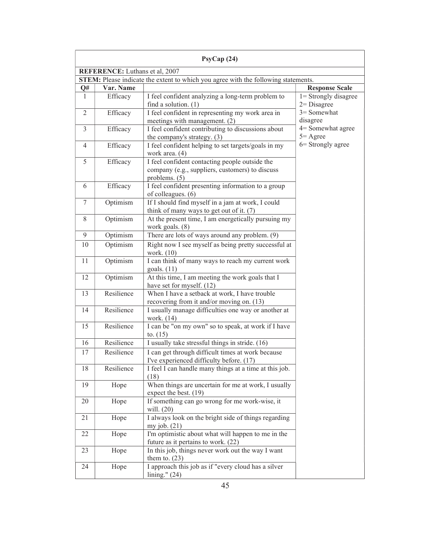|                |                                       | P <sub>SY</sub> Cap(24)                                                                                            |                                         |
|----------------|---------------------------------------|--------------------------------------------------------------------------------------------------------------------|-----------------------------------------|
|                | <b>REFERENCE:</b> Luthans et al, 2007 |                                                                                                                    |                                         |
|                |                                       | STEM: Please indicate the extent to which you agree with the following statements.                                 |                                         |
| Q#             | Var. Name                             |                                                                                                                    | <b>Response Scale</b>                   |
| 1              | Efficacy                              | I feel confident analyzing a long-term problem to<br>find a solution. $(1)$                                        | 1= Strongly disagree<br>$2 = Disagree$  |
| $\overline{2}$ | Efficacy                              | I feel confident in representing my work area in<br>meetings with management. (2)                                  | 3= Somewhat<br>disagree                 |
| $\mathfrak{Z}$ | Efficacy                              | I feel confident contributing to discussions about<br>the company's strategy. (3)                                  | 4= Somewhat agree<br>$5 = \text{Agree}$ |
| $\overline{4}$ | Efficacy                              | I feel confident helping to set targets/goals in my<br>work area. (4)                                              | 6 = Strongly agree                      |
| 5              | Efficacy                              | I feel confident contacting people outside the<br>company (e.g., suppliers, customers) to discuss<br>problems. (5) |                                         |
| 6              | Efficacy                              | I feel confident presenting information to a group<br>of colleagues. (6)                                           |                                         |
| 7              | Optimism                              | If I should find myself in a jam at work, I could<br>think of many ways to get out of it. (7)                      |                                         |
| 8              | Optimism                              | At the present time, I am energetically pursuing my<br>work goals. (8)                                             |                                         |
| 9              | Optimism                              | There are lots of ways around any problem. (9)                                                                     |                                         |
| 10             | Optimism                              | Right now I see myself as being pretty successful at<br>work. (10)                                                 |                                         |
| 11             | Optimism                              | I can think of many ways to reach my current work<br>goals. $(11)$                                                 |                                         |
| 12             | Optimism                              | At this time, I am meeting the work goals that I<br>have set for myself. (12)                                      |                                         |
| 13             | Resilience                            | When I have a setback at work, I have trouble<br>recovering from it and/or moving on. (13)                         |                                         |
| 14             | Resilience                            | I usually manage difficulties one way or another at<br>work. (14)                                                  |                                         |
| 15             | Resilience                            | I can be "on my own" so to speak, at work if I have<br>to. $(15)$                                                  |                                         |
| 16             | Resilience                            | I usually take stressful things in stride. (16)                                                                    |                                         |
| 17             | Resilience                            | I can get through difficult times at work because<br>I've experienced difficulty before. (17)                      |                                         |
| 18             | Resilience                            | I feel I can handle many things at a time at this job.<br>(18)                                                     |                                         |
| 19             | Hope                                  | When things are uncertain for me at work, I usually<br>expect the best. (19)                                       |                                         |
| 20             | Hope                                  | If something can go wrong for me work-wise, it<br>will. $(20)$                                                     |                                         |
| 21             | Hope                                  | I always look on the bright side of things regarding<br>my job. $(21)$                                             |                                         |
| 22             | Hope                                  | I'm optimistic about what will happen to me in the<br>future as it pertains to work. (22)                          |                                         |
| 23             | Hope                                  | In this job, things never work out the way I want<br>them to. $(23)$                                               |                                         |
| 24             | Hope                                  | I approach this job as if "every cloud has a silver<br>lining." $(24)$                                             |                                         |